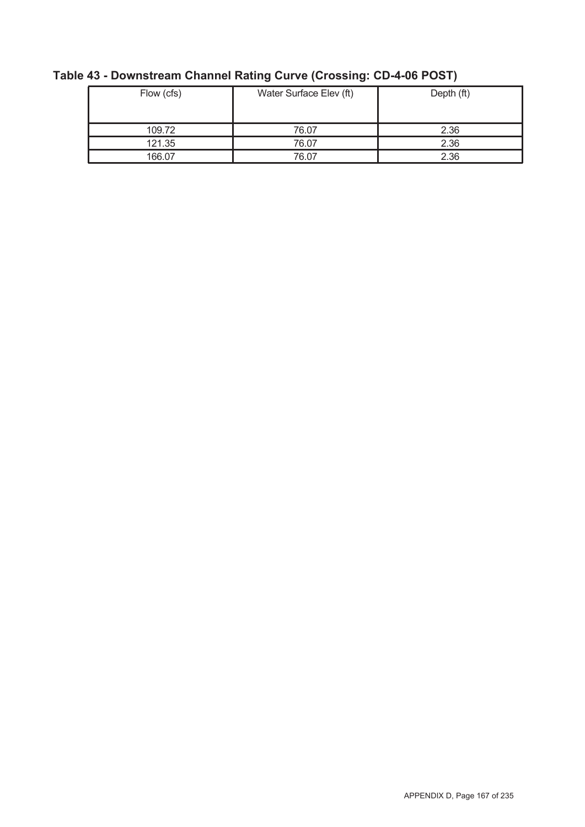| Flow (cfs) | Water Surface Elev (ft) | Depth (ft) |  |  |
|------------|-------------------------|------------|--|--|
| 109.72     | 76.07                   | 2.36       |  |  |
| 121.35     | 76.07                   | 2.36       |  |  |
| 166.07     | 76.07                   | 2.36       |  |  |

# **Table 43 - Downstream Channel Rating Curve (Crossing: CD-4-06 POST)**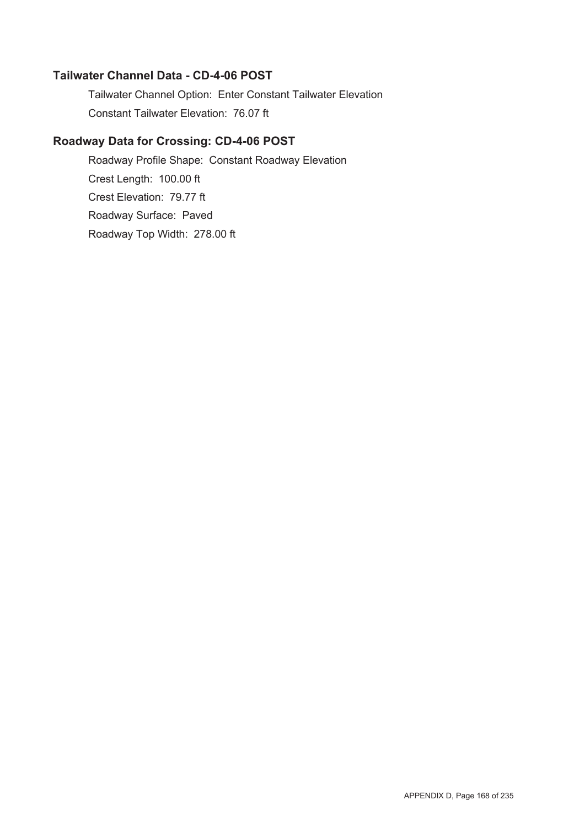#### **Tailwater Channel Data - CD-4-06 POST**

Tailwater Channel Option: Enter Constant Tailwater Elevation Constant Tailwater Elevation: 76.07 ft

## **Roadway Data for Crossing: CD-4-06 POST**

Roadway Profile Shape: Constant Roadway Elevation Crest Length: 100.00 ft Crest Elevation: 79.77 ft Roadway Surface: Paved Roadway Top Width: 278.00 ft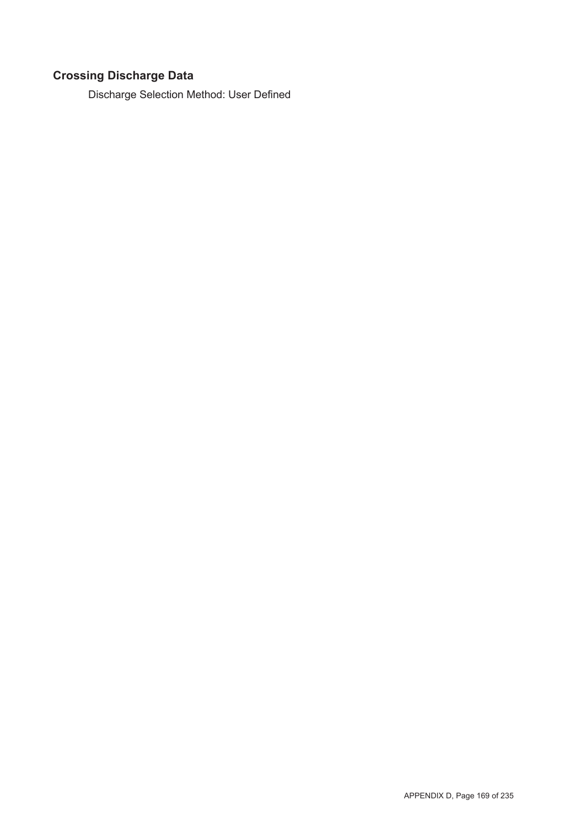# **Crossing Discharge Data**

Discharge Selection Method: User Defined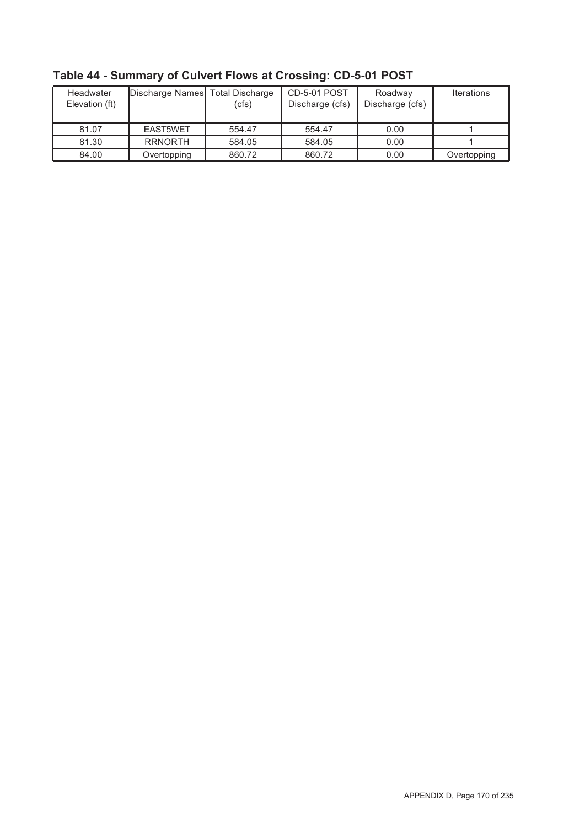| Headwater<br>Elevation (ft) | Discharge Names Total Discharge | (cfs)  | <b>CD-5-01 POST</b><br>Discharge (cfs) | Roadway<br>Discharge (cfs) | <b>Iterations</b> |
|-----------------------------|---------------------------------|--------|----------------------------------------|----------------------------|-------------------|
| 81.07                       | EAST5WET                        | 554.47 | 554.47                                 | 0.00                       |                   |
| 81.30                       | <b>RRNORTH</b>                  | 584.05 | 584.05                                 | 0.00                       |                   |
| 84.00                       | Overtopping                     | 860.72 | 860.72                                 | 0.00                       | Overtopping       |

**Table 44 - Summary of Culvert Flows at Crossing: CD-5-01 POST**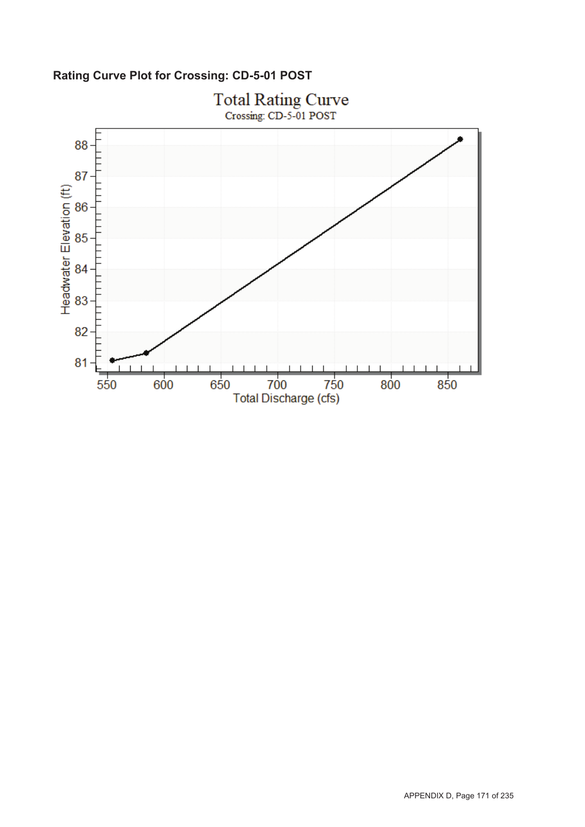**Rating Curve Plot for Crossing: CD-5-01 POST**

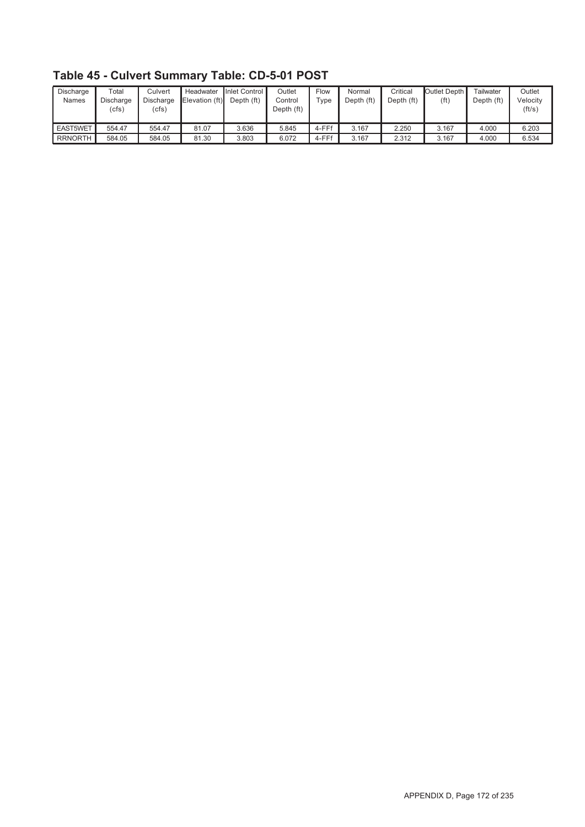| Discharge<br><b>Names</b> | $\tau$ otal<br>Discharge<br>(cfs) | Culvert<br>Discharge<br>(cfs) | Headwater<br>Elevation (ft) | Inlet Control I<br>Depth (ft) | Outlet<br>Control<br>Depth (ft) | Flow<br>$\tau$ ype | Normal<br>Depth (ft) | Critical<br>Depth (ft) | Outlet Depth I<br>(ft | Tailwater<br>Depth (ft) | Outlet<br>Velocity<br>(ft/s) |
|---------------------------|-----------------------------------|-------------------------------|-----------------------------|-------------------------------|---------------------------------|--------------------|----------------------|------------------------|-----------------------|-------------------------|------------------------------|
| <b>EAST5WET</b>           | 554.47                            | 554.47                        | 81.07                       | 3.636                         | 5.845                           | 4-FFf              | 3.167                | 2.250                  | 3.167                 | 4.000                   | 6.203                        |
| <b>RRNORTH</b>            | 584.05                            | 584.05                        | 81.30                       | 3.803                         | 6.072                           | 4-FFf              | 3.167                | 2.312                  | 3.167                 | 4.000                   | 6.534                        |

**Table 45 - Culvert Summary Table: CD-5-01 POST**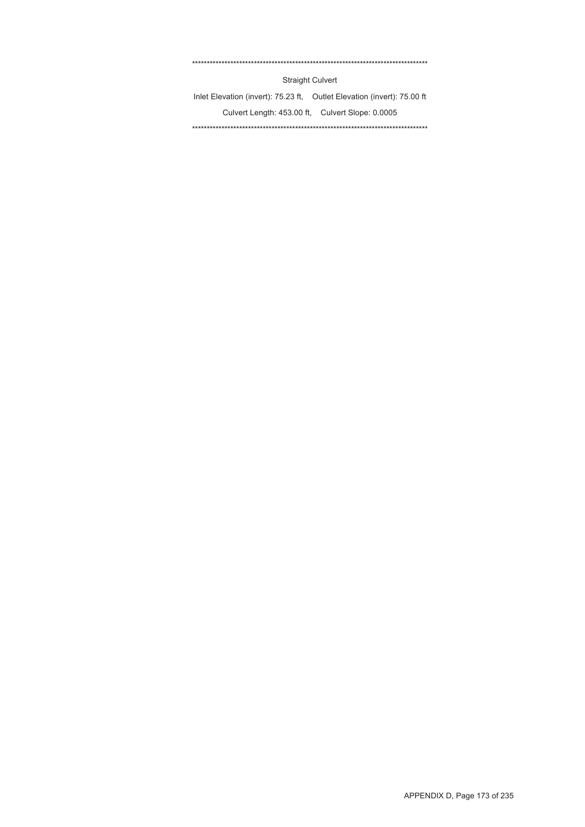#### \*\*\*\*\*\*\*\*\*\*\*\*\*\*\*\*\*\*\*\*\*\*\*\*\*\*\*\*\*\*\*\*\*\*\*\*\*\*\*\*\*\*\*\*\*\*\*\*\*\*\*\*\*\*\*\*\*\*\*\*\*\*\*\*\*\*\*\*\*\*\*\*\*\*\*\*\*\*\*\*

Straight Culvert

Inlet Elevation (invert): 75.23 ft, Outlet Elevation (invert): 75.00 ft Culvert Length: 453.00 ft, Culvert Slope: 0.0005 \*\*\*\*\*\*\*\*\*\*\*\*\*\*\*\*\*\*\*\*\*\*\*\*\*\*\*\*\*\*\*\*\*\*\*\*\*\*\*\*\*\*\*\*\*\*\*\*\*\*\*\*\*\*\*\*\*\*\*\*\*\*\*\*\*\*\*\*\*\*\*\*\*\*\*\*\*\*\*\*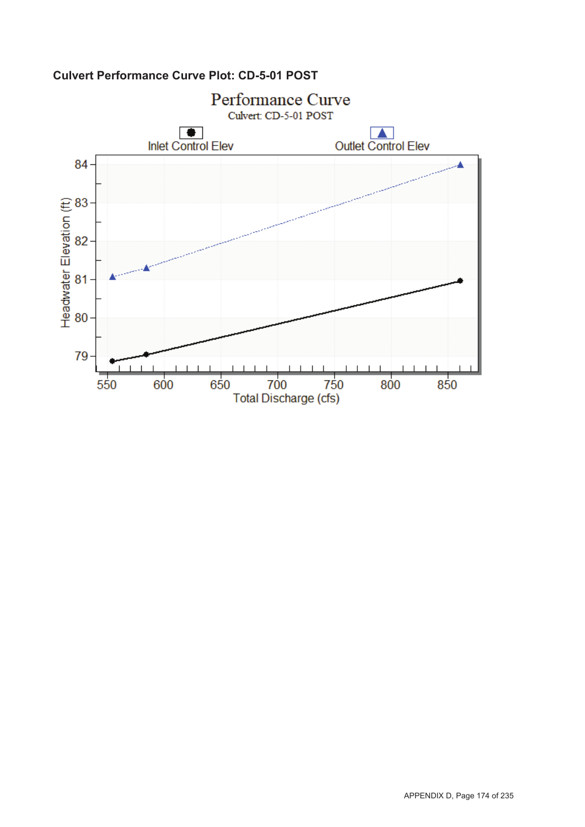

## **Culvert Performance Curve Plot: CD-5-01 POST**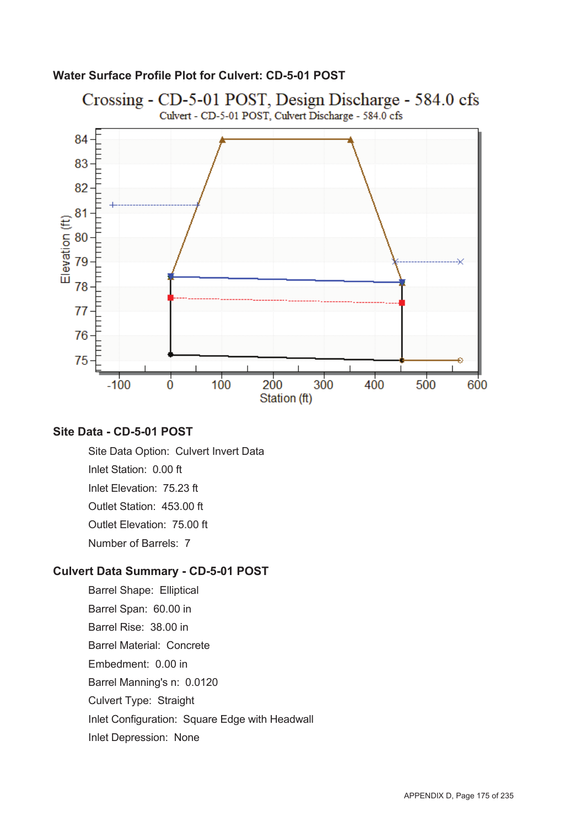#### **Water Surface Profile Plot for Culvert: CD-5-01 POST**



### **Site Data - CD-5-01 POST**

Site Data Option: Culvert Invert Data Inlet Station: 0.00 ft Inlet Elevation: 75.23 ft Outlet Station: 453.00 ft Outlet Elevation: 75.00 ft Number of Barrels: 7

#### **Culvert Data Summary - CD-5-01 POST**

Barrel Shape: Elliptical Barrel Span: 60.00 in Barrel Rise: 38.00 in Barrel Material: Concrete Embedment: 0.00 in Barrel Manning's n: 0.0120 Culvert Type: Straight Inlet Configuration: Square Edge with Headwall Inlet Depression: None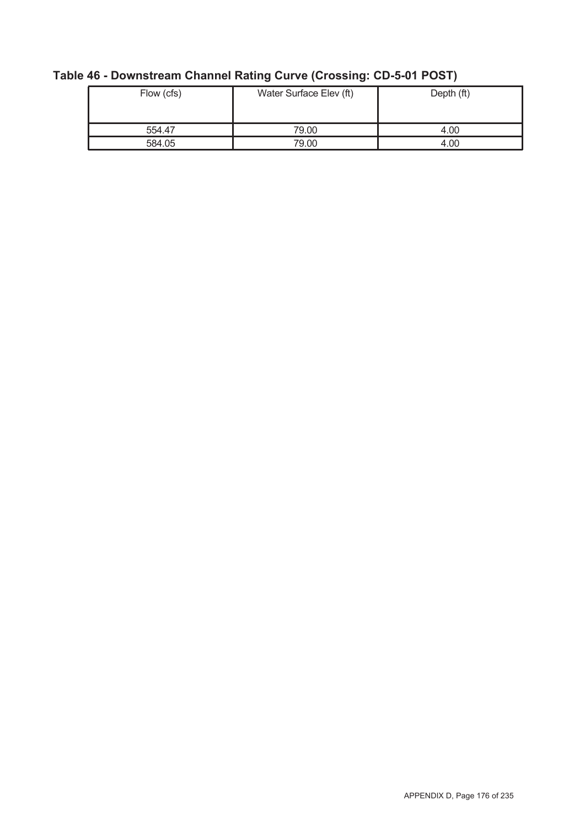| Flow (cfs) | Water Surface Elev (ft) | Depth (ft) |  |  |
|------------|-------------------------|------------|--|--|
| 554.47     | 79.00                   | 4.00       |  |  |
| 584.05     | 79.00                   | 4.00       |  |  |

# **Table 46 - Downstream Channel Rating Curve (Crossing: CD-5-01 POST)**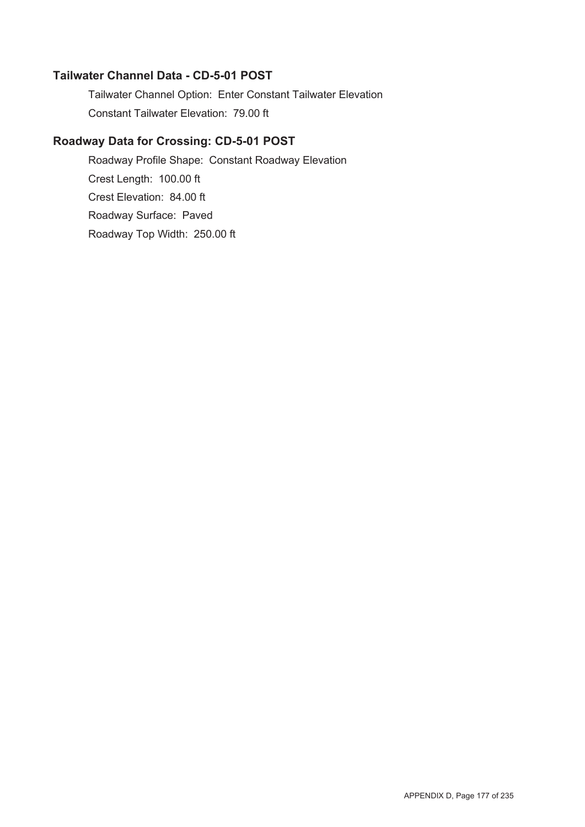### **Tailwater Channel Data - CD-5-01 POST**

Tailwater Channel Option: Enter Constant Tailwater Elevation Constant Tailwater Elevation: 79.00 ft

### **Roadway Data for Crossing: CD-5-01 POST**

Roadway Profile Shape: Constant Roadway Elevation Crest Length: 100.00 ft Crest Elevation: 84.00 ft Roadway Surface: Paved Roadway Top Width: 250.00 ft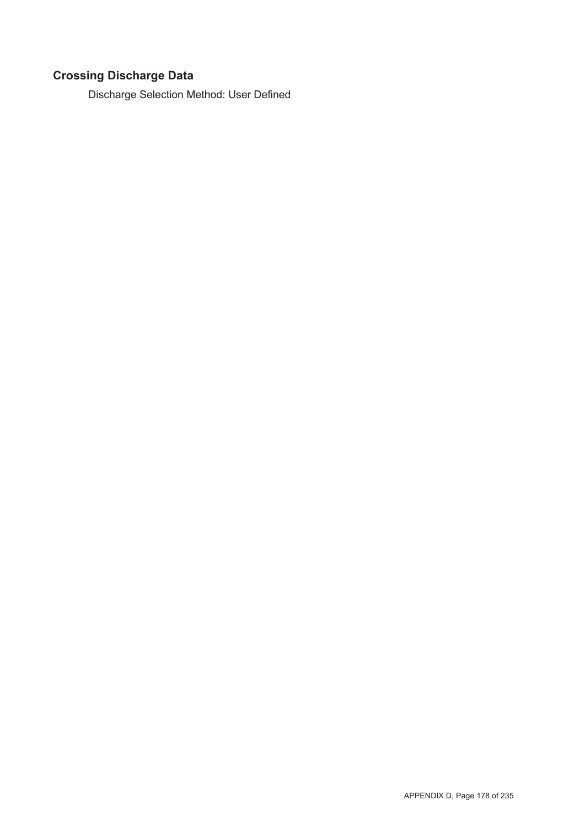# **Crossing Discharge Data**

Discharge Selection Method: User Defined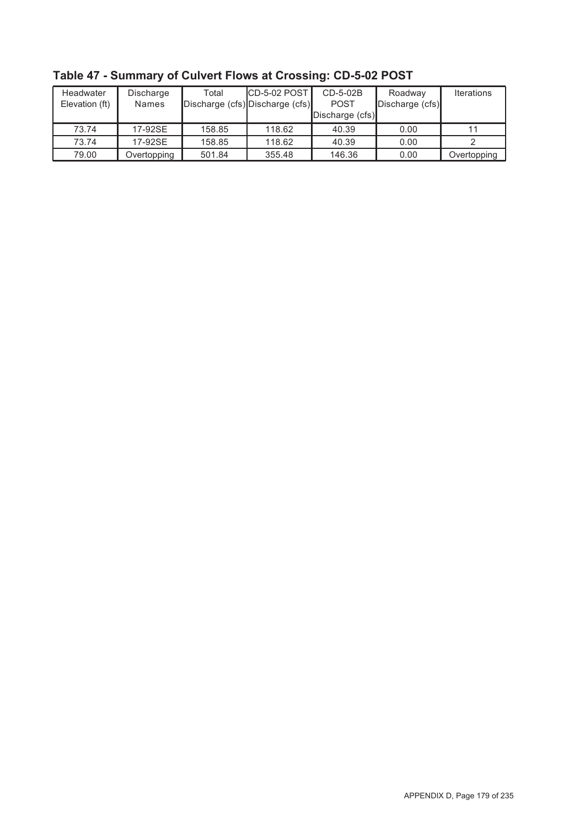| Headwater      | Discharge    | Total  | $CD-5-02$ POST                  | CD-5-02B        | Roadway         | <b>Iterations</b> |
|----------------|--------------|--------|---------------------------------|-----------------|-----------------|-------------------|
| Elevation (ft) | <b>Names</b> |        | Discharge (cfs) Discharge (cfs) | <b>POST</b>     | Discharge (cfs) |                   |
|                |              |        |                                 | Discharge (cfs) |                 |                   |
| 73.74          | 17-92SE      | 158.85 | 118.62                          | 40.39           | 0.00            |                   |
| 73.74          | 17-92SE      | 158.85 | 118.62                          | 40.39           | 0.00            |                   |
| 79.00          | Overtopping  | 501.84 | 355.48                          | 146.36          | 0.00            | Overtopping       |

**Table 47 - Summary of Culvert Flows at Crossing: CD-5-02 POST**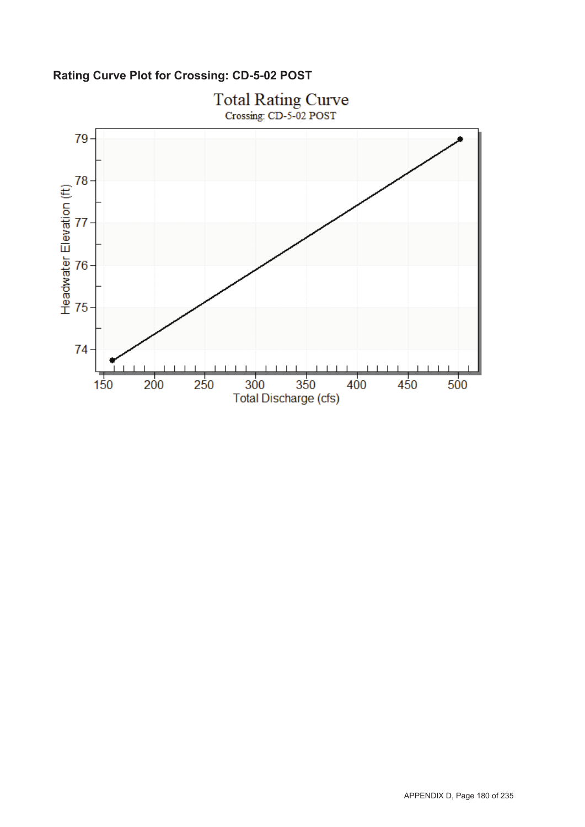**Rating Curve Plot for Crossing: CD-5-02 POST**

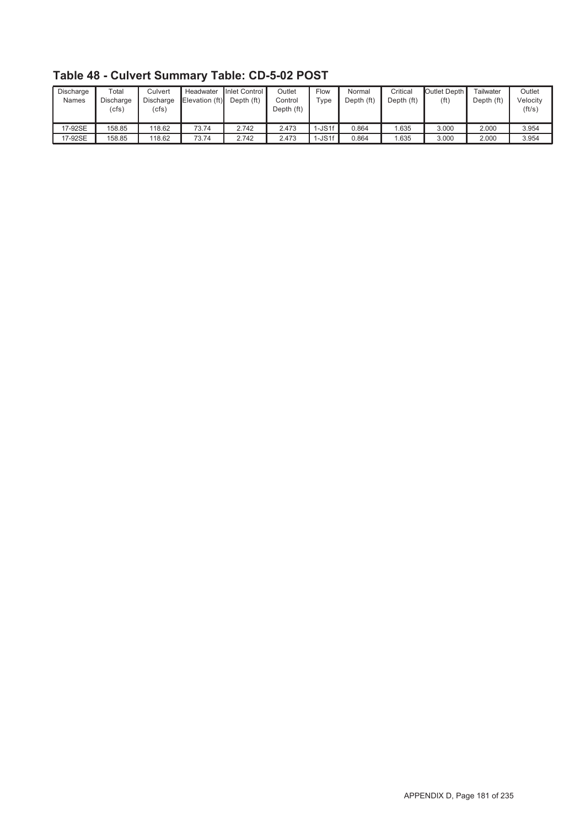| Discharge<br><b>Names</b> | $\tau$ otal<br>Discharge<br>(cfs) | Culvert<br><b>Discharge</b><br>(cfs) | Headwater<br>Elevation (ft) | Inlet Control<br>Depth (ft) | Outlet<br>Control<br>Depth (ft) | Flow<br>$\tau$ ype | Normal<br>Depth (ft) | Critical<br>Depth (ft) | Outlet Depth I<br>(ft) | Tailwater<br>Depth (ft) | Outlet<br>Velocity<br>(ft/s) |
|---------------------------|-----------------------------------|--------------------------------------|-----------------------------|-----------------------------|---------------------------------|--------------------|----------------------|------------------------|------------------------|-------------------------|------------------------------|
| 17-92SE                   | 158.85                            | 118.62                               | 73.74                       | 2.742                       | 2.473                           | $-$ JS1f           | 0.864                | .635                   | 3.000                  | 2.000                   | 3.954                        |
| 17-92SE                   | 158.85                            | 118.62                               | 73.74                       | 2.742                       | 2.473                           | $I-JS1f$           | 0.864                | .635                   | 3.000                  | 2.000                   | 3.954                        |

**Table 48 - Culvert Summary Table: CD-5-02 POST**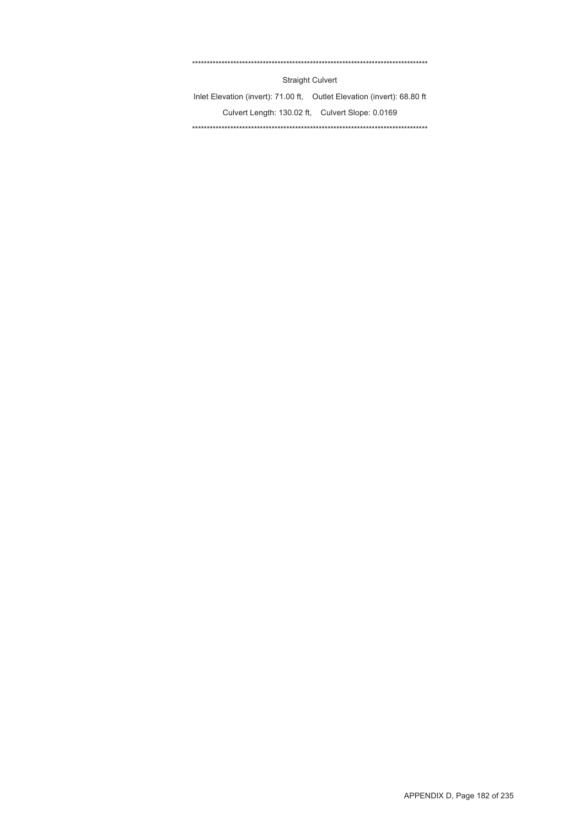#### \*\*\*\*\*\*\*\*\*\*\*\*\*\*\*\*\*\*\*\*\*\*\*\*\*\*\*\*\*\*\*\*\*\*\*\*\*\*\*\*\*\*\*\*\*\*\*\*\*\*\*\*\*\*\*\*\*\*\*\*\*\*\*\*\*\*\*\*\*\*\*\*\*\*\*\*\*\*\*\*

Straight Culvert

Inlet Elevation (invert): 71.00 ft, Outlet Elevation (invert): 68.80 ft Culvert Length: 130.02 ft, Culvert Slope: 0.0169 \*\*\*\*\*\*\*\*\*\*\*\*\*\*\*\*\*\*\*\*\*\*\*\*\*\*\*\*\*\*\*\*\*\*\*\*\*\*\*\*\*\*\*\*\*\*\*\*\*\*\*\*\*\*\*\*\*\*\*\*\*\*\*\*\*\*\*\*\*\*\*\*\*\*\*\*\*\*\*\*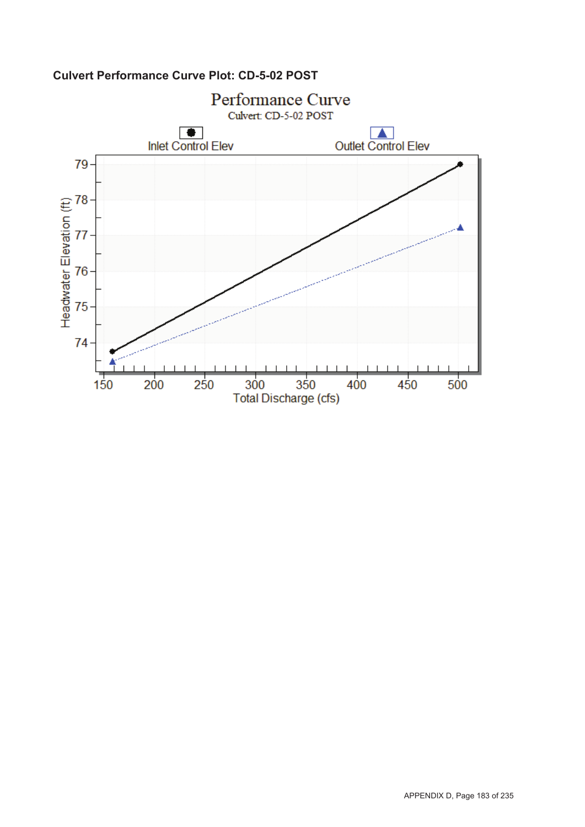

## **Culvert Performance Curve Plot: CD-5-02 POST**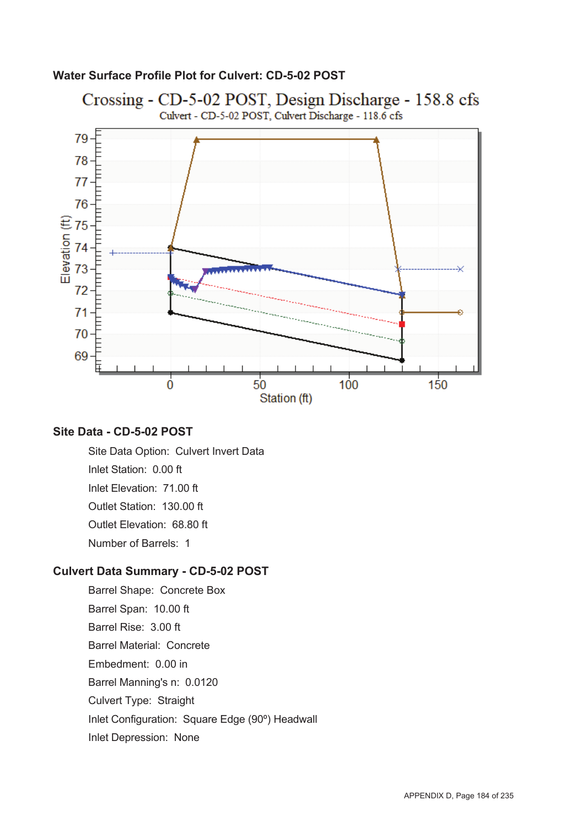### **Water Surface Profile Plot for Culvert: CD-5-02 POST**



### **Site Data - CD-5-02 POST**

Site Data Option: Culvert Invert Data Inlet Station: 0.00 ft Inlet Elevation: 71.00 ft Outlet Station: 130.00 ft Outlet Elevation: 68.80 ft Number of Barrels: 1

#### **Culvert Data Summary - CD-5-02 POST**

Barrel Shape: Concrete Box Barrel Span: 10.00 ft Barrel Rise: 3.00 ft Barrel Material: Concrete Embedment: 0.00 in Barrel Manning's n: 0.0120 Culvert Type: Straight Inlet Configuration: Square Edge (90º) Headwall Inlet Depression: None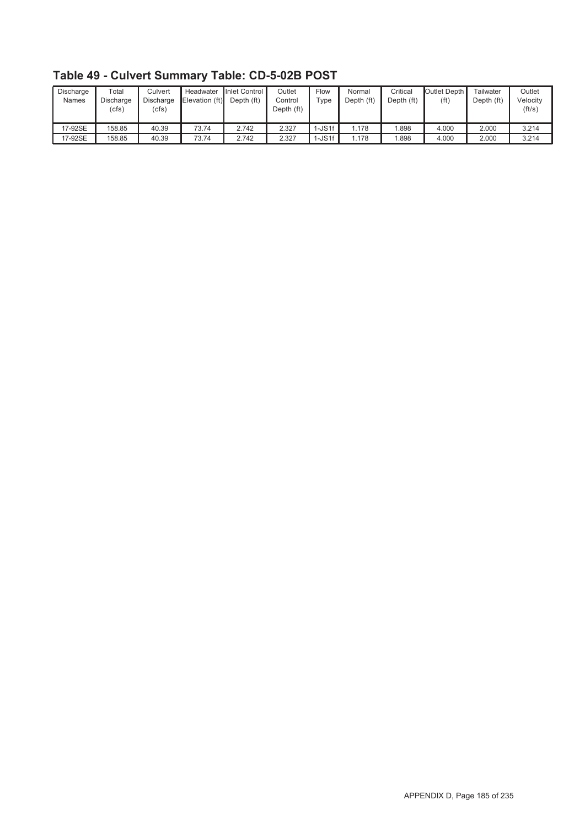| Discharge<br><b>Names</b> | $\tau$ otal<br>Discharge<br>(cfs) | Culvert<br><b>Discharge</b><br>(cfs) | Headwater<br>Elevation (ft) | Inlet Control<br>Depth (ft) | Outlet<br>Control<br>Depth (ft) | Flow<br>$\tau$ ype | Normal<br>Depth (ft) | Critical<br>Depth (ft) | Outlet Depth I<br>(ft) | Tailwater<br>Depth (ft) | Outlet<br>Velocity<br>(ft/s) |
|---------------------------|-----------------------------------|--------------------------------------|-----------------------------|-----------------------------|---------------------------------|--------------------|----------------------|------------------------|------------------------|-------------------------|------------------------------|
| 17-92SE                   | 158.85                            | 40.39                                | 73.74                       | 2.742                       | 2.327                           | $I-JS1f$           | .178                 | .898                   | 4.000                  | 2.000                   | 3.214                        |
| 17-92SE                   | 158.85                            | 40.39                                | 73.74                       | 2.742                       | 2.327                           | $I-JS1f$           | .178                 | .898                   | 4.000                  | 2.000                   | 3.214                        |

**Table 49 - Culvert Summary Table: CD-5-02B POST**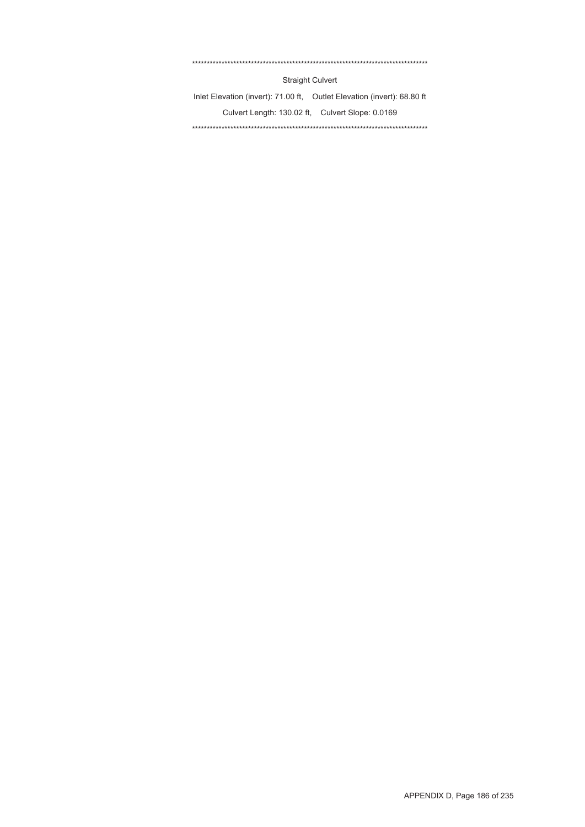#### \*\*\*\*\*\*\*\*\*\*\*\*\*\*\*\*\*\*\*\*\*\*\*\*\*\*\*\*\*\*\*\*\*\*\*\*\*\*\*\*\*\*\*\*\*\*\*\*\*\*\*\*\*\*\*\*\*\*\*\*\*\*\*\*\*\*\*\*\*\*\*\*\*\*\*\*\*\*\*\*

Straight Culvert

Inlet Elevation (invert): 71.00 ft, Outlet Elevation (invert): 68.80 ft Culvert Length: 130.02 ft, Culvert Slope: 0.0169 \*\*\*\*\*\*\*\*\*\*\*\*\*\*\*\*\*\*\*\*\*\*\*\*\*\*\*\*\*\*\*\*\*\*\*\*\*\*\*\*\*\*\*\*\*\*\*\*\*\*\*\*\*\*\*\*\*\*\*\*\*\*\*\*\*\*\*\*\*\*\*\*\*\*\*\*\*\*\*\*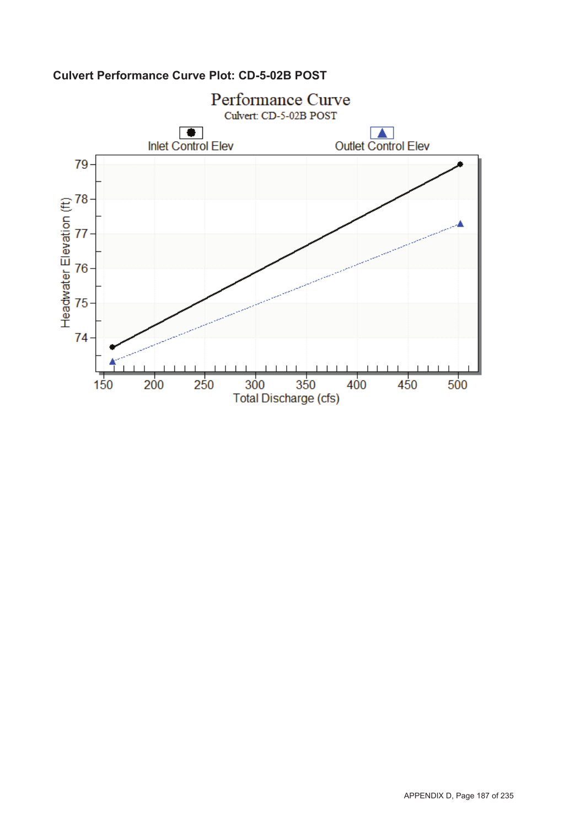

## **Culvert Performance Curve Plot: CD-5-02B POST**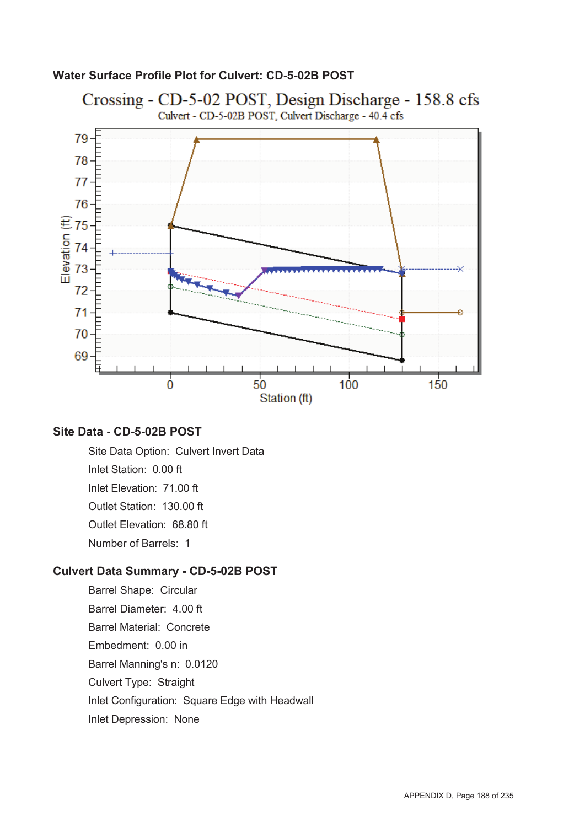#### **Water Surface Profile Plot for Culvert: CD-5-02B POST**



#### **Site Data - CD-5-02B POST**

Site Data Option: Culvert Invert Data Inlet Station: 0.00 ft Inlet Elevation: 71.00 ft Outlet Station: 130.00 ft Outlet Elevation: 68.80 ft Number of Barrels: 1

#### **Culvert Data Summary - CD-5-02B POST**

Barrel Shape: Circular Barrel Diameter: 4.00 ft Barrel Material: Concrete Embedment: 0.00 in Barrel Manning's n: 0.0120 Culvert Type: Straight Inlet Configuration: Square Edge with Headwall Inlet Depression: None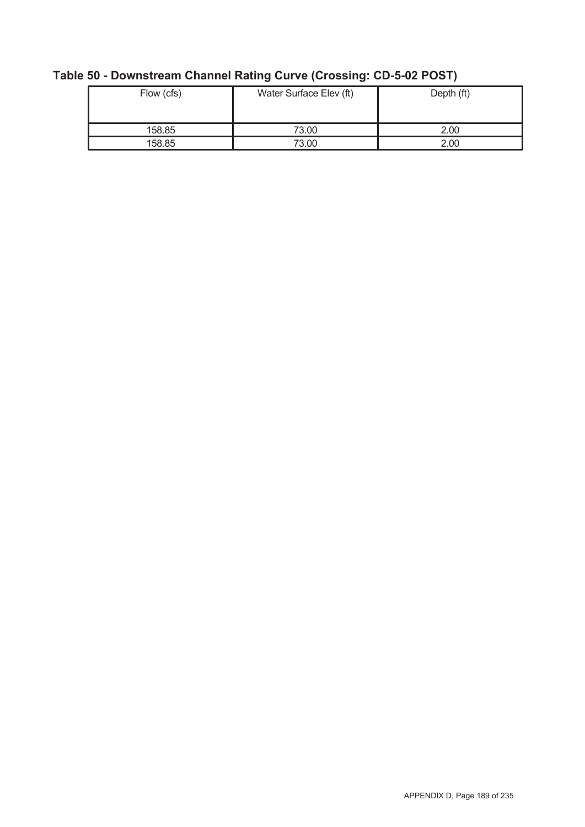| Flow (cfs) | Water Surface Elev (ft) | Depth (ft) |  |  |
|------------|-------------------------|------------|--|--|
| 158.85     | 73.00                   | 2.00       |  |  |
| 158.85     | 73.00                   | 2.00       |  |  |

# **Table 50 - Downstream Channel Rating Curve (Crossing: CD-5-02 POST)**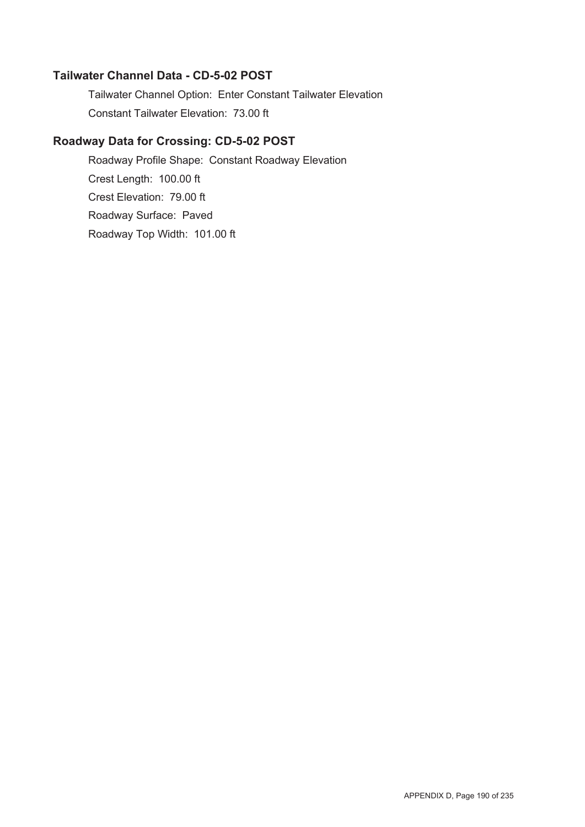#### **Tailwater Channel Data - CD-5-02 POST**

Tailwater Channel Option: Enter Constant Tailwater Elevation Constant Tailwater Elevation: 73.00 ft

### **Roadway Data for Crossing: CD-5-02 POST**

Roadway Profile Shape: Constant Roadway Elevation Crest Length: 100.00 ft Crest Elevation: 79.00 ft Roadway Surface: Paved Roadway Top Width: 101.00 ft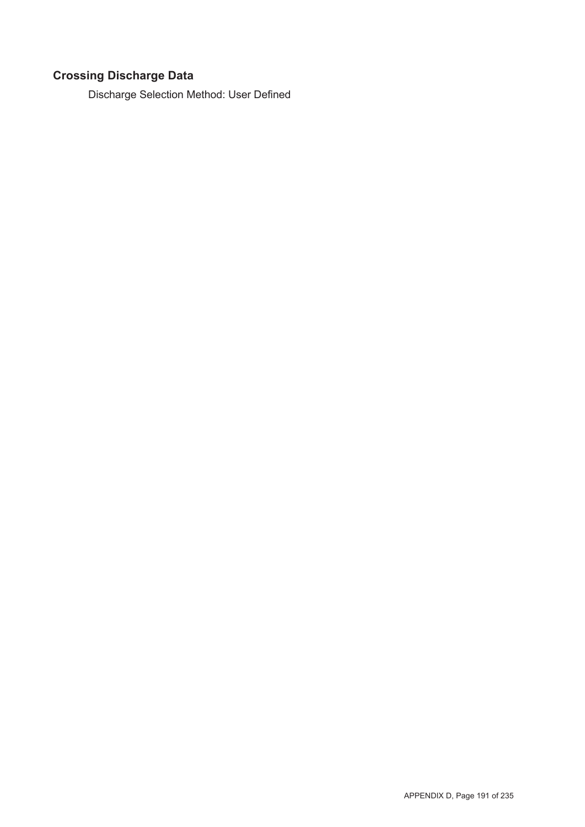# **Crossing Discharge Data**

Discharge Selection Method: User Defined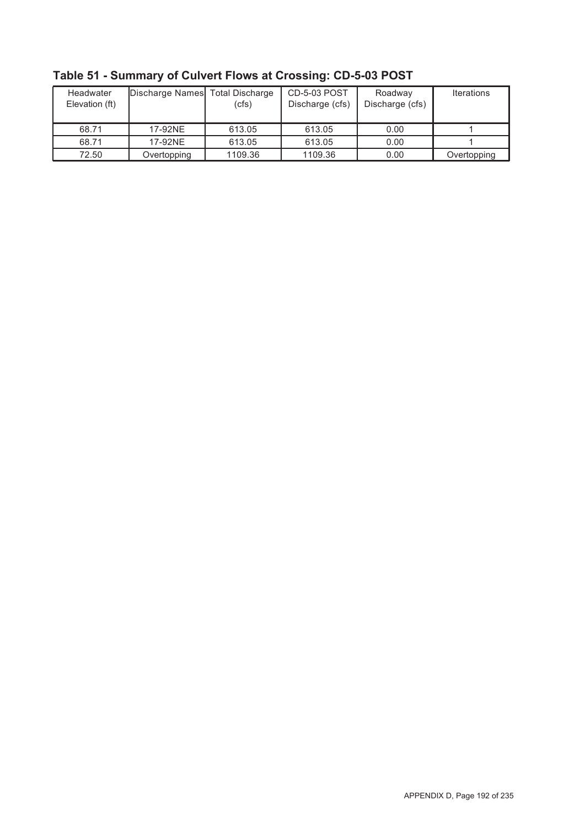| Headwater<br>Elevation (ft) | Discharge Names Total Discharge | (cfs)   | <b>CD-5-03 POST</b><br>Discharge (cfs) | Roadway<br>Discharge (cfs) | <b>Iterations</b> |
|-----------------------------|---------------------------------|---------|----------------------------------------|----------------------------|-------------------|
| 68.71                       | 17-92NE                         | 613.05  | 613.05                                 | 0.00                       |                   |
| 68.71                       | 17-92NE                         | 613.05  | 613.05                                 | 0.00                       |                   |
| 72.50                       | Overtopping                     | 1109.36 | 1109.36                                | 0.00                       | Overtopping       |

**Table 51 - Summary of Culvert Flows at Crossing: CD-5-03 POST**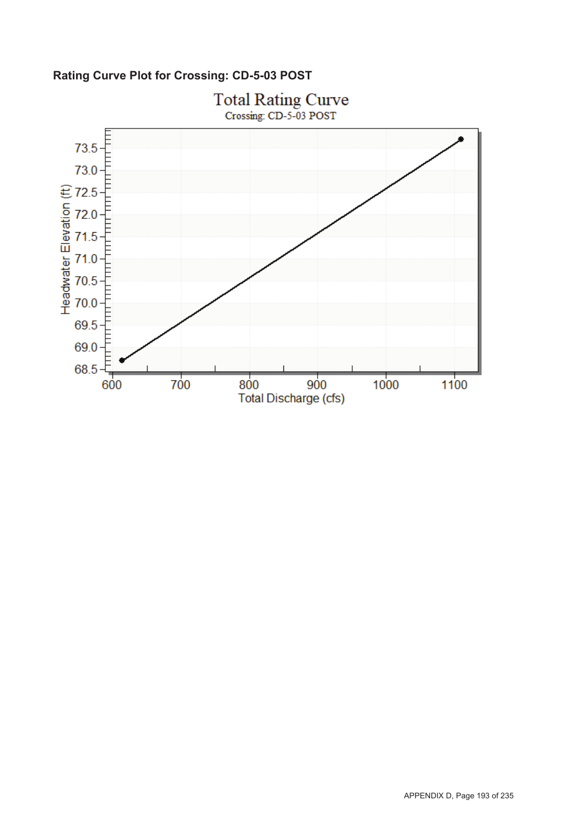**Rating Curve Plot for Crossing: CD-5-03 POST**

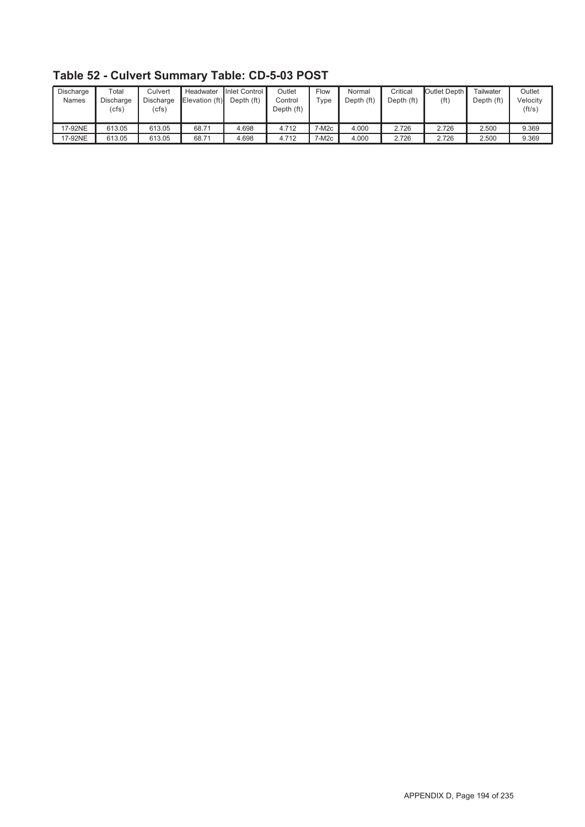| Discharge<br><b>Names</b> | $\tau$ otal<br>Discharge<br>(cfs) | Culvert<br>Discharge<br>(cfs) | Headwater<br>Elevation (ft) | Inlet Control<br>Depth (ft) | Outlet<br>Control<br>Depth (ft) | Flow<br>$\tau$ ype | Normal<br>Depth (ft) | Critical<br>Depth (ft) | Outlet Depth I<br>(ft) | Tailwater<br>Depth (ft) | Outlet<br>Velocity<br>(ft/s) |
|---------------------------|-----------------------------------|-------------------------------|-----------------------------|-----------------------------|---------------------------------|--------------------|----------------------|------------------------|------------------------|-------------------------|------------------------------|
| 17-92NE                   | 613.05                            | 613.05                        | 68.71                       | 4.698                       | 4.712                           | 7-M2c              | 4.000                | 2.726                  | 2.726                  | 2.500                   | 9.369                        |
| 17-92NE                   | 613.05                            | 613.05                        | 68.71                       | 4.698                       | 4.712                           | 7-M2c              | 4.000                | 2.726                  | 2.726                  | 2.500                   | 9.369                        |

**Table 52 - Culvert Summary Table: CD-5-03 POST**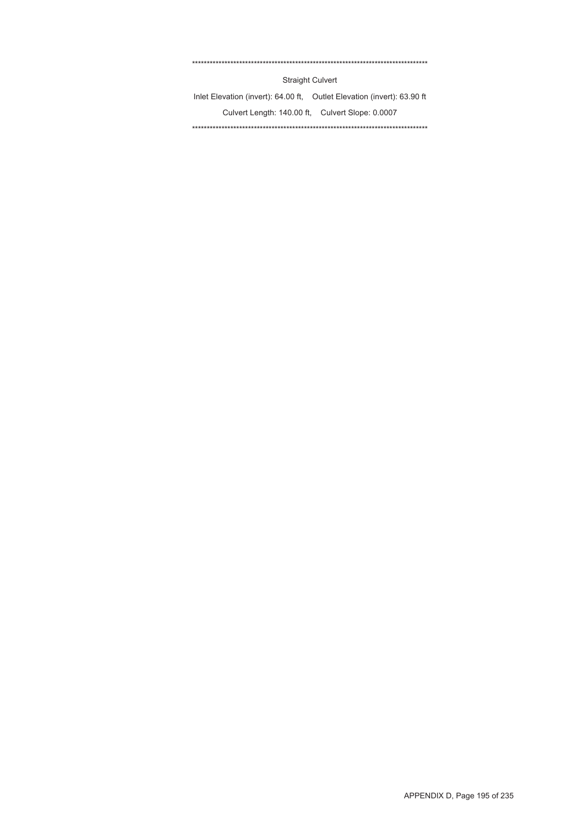#### \*\*\*\*\*\*\*\*\*\*\*\*\*\*\*\*\*\*\*\*\*\*\*\*\*\*\*\*\*\*\*\*\*\*\*\*\*\*\*\*\*\*\*\*\*\*\*\*\*\*\*\*\*\*\*\*\*\*\*\*\*\*\*\*\*\*\*\*\*\*\*\*\*\*\*\*\*\*\*\*

Straight Culvert

Inlet Elevation (invert): 64.00 ft, Outlet Elevation (invert): 63.90 ft Culvert Length: 140.00 ft, Culvert Slope: 0.0007 \*\*\*\*\*\*\*\*\*\*\*\*\*\*\*\*\*\*\*\*\*\*\*\*\*\*\*\*\*\*\*\*\*\*\*\*\*\*\*\*\*\*\*\*\*\*\*\*\*\*\*\*\*\*\*\*\*\*\*\*\*\*\*\*\*\*\*\*\*\*\*\*\*\*\*\*\*\*\*\*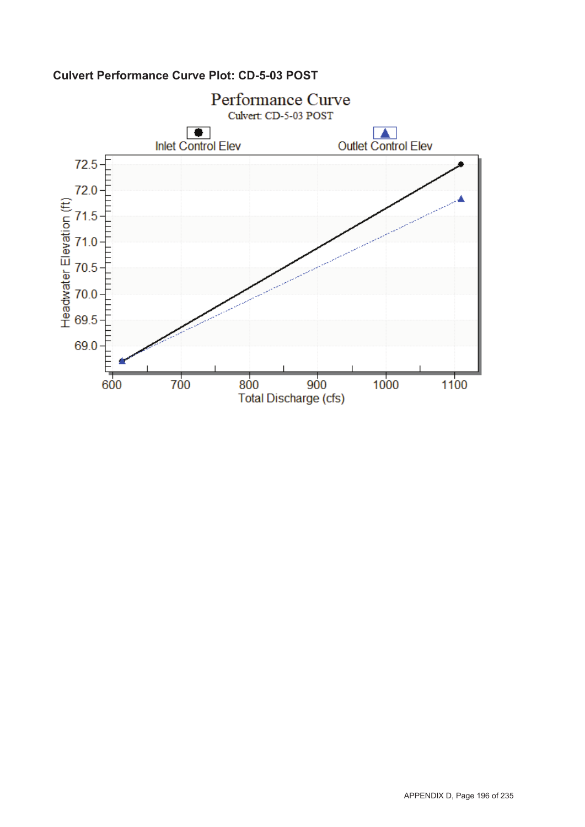

## **Culvert Performance Curve Plot: CD-5-03 POST**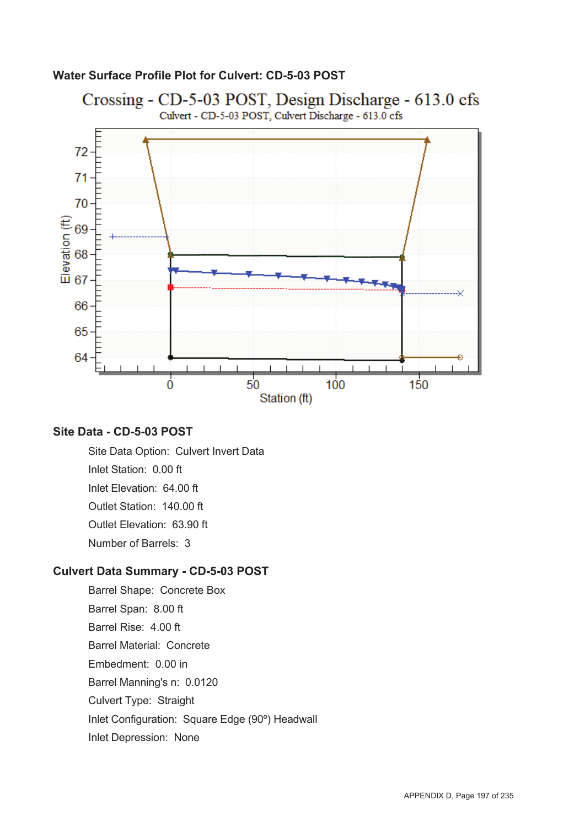### **Water Surface Profile Plot for Culvert: CD-5-03 POST**



### **Site Data - CD-5-03 POST**

Site Data Option: Culvert Invert Data Inlet Station: 0.00 ft Inlet Elevation: 64.00 ft Outlet Station: 140.00 ft Outlet Elevation: 63.90 ft Number of Barrels: 3

#### **Culvert Data Summary - CD-5-03 POST**

Barrel Shape: Concrete Box Barrel Span: 8.00 ft Barrel Rise: 4.00 ft Barrel Material: Concrete Embedment: 0.00 in Barrel Manning's n: 0.0120 Culvert Type: Straight Inlet Configuration: Square Edge (90º) Headwall Inlet Depression: None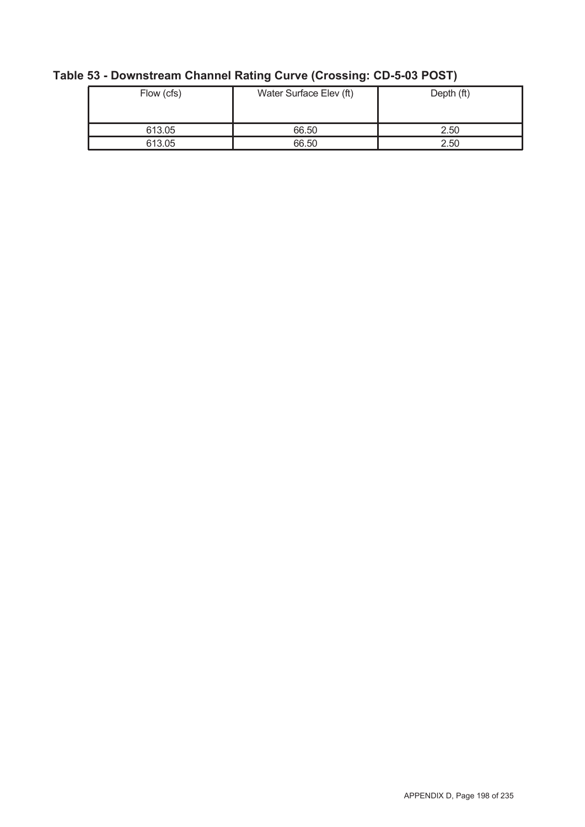| Flow (cfs) | Water Surface Elev (ft) | Depth (ft) |  |  |
|------------|-------------------------|------------|--|--|
| 613.05     | 66.50                   | 2.50       |  |  |
| 613.05     | 66.50                   | 2.50       |  |  |

# **Table 53 - Downstream Channel Rating Curve (Crossing: CD-5-03 POST)**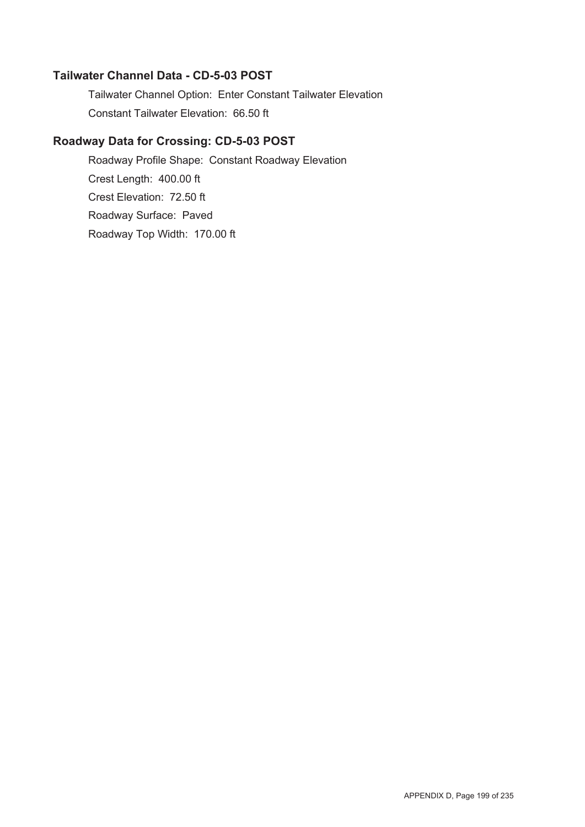### **Tailwater Channel Data - CD-5-03 POST**

Tailwater Channel Option: Enter Constant Tailwater Elevation Constant Tailwater Elevation: 66.50 ft

## **Roadway Data for Crossing: CD-5-03 POST**

Roadway Profile Shape: Constant Roadway Elevation Crest Length: 400.00 ft Crest Elevation: 72.50 ft Roadway Surface: Paved Roadway Top Width: 170.00 ft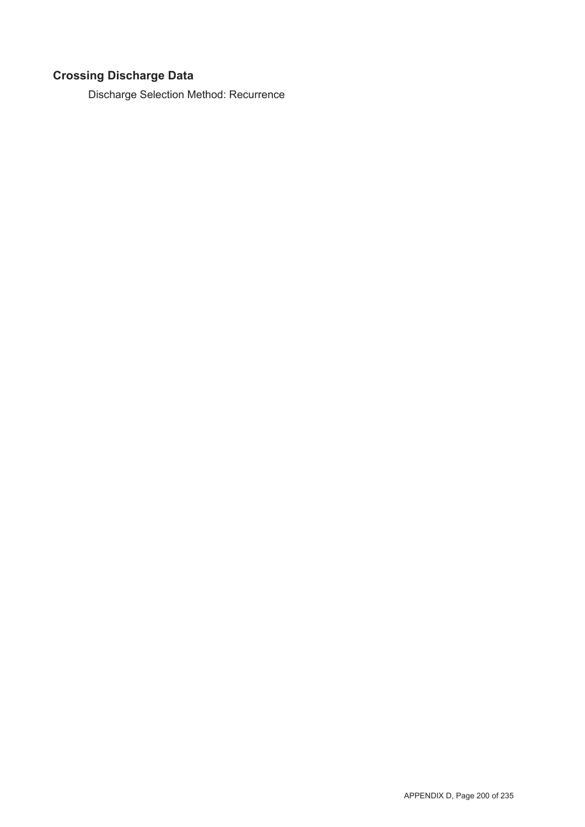# **Crossing Discharge Data**

Discharge Selection Method: Recurrence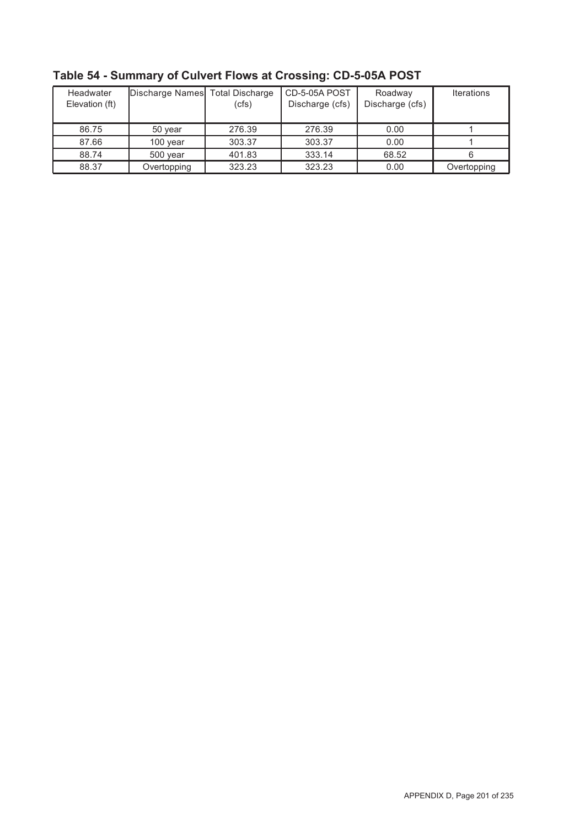| Headwater<br>Elevation (ft) | Discharge Names Total Discharge | (cfs)  | CD-5-05A POST<br>Discharge (cfs) | Roadway<br>Discharge (cfs) | <b>Iterations</b> |
|-----------------------------|---------------------------------|--------|----------------------------------|----------------------------|-------------------|
| 86.75                       | 50 year                         | 276.39 | 276.39                           | 0.00                       |                   |
| 87.66                       | 100 year                        | 303.37 | 303.37                           | 0.00                       |                   |
| 88.74                       | 500 year                        | 401.83 | 333.14                           | 68.52                      |                   |
| 88.37                       | Overtopping                     | 323.23 | 323.23                           | 0.00                       | Overtopping       |

**Table 54 - Summary of Culvert Flows at Crossing: CD-5-05A POST**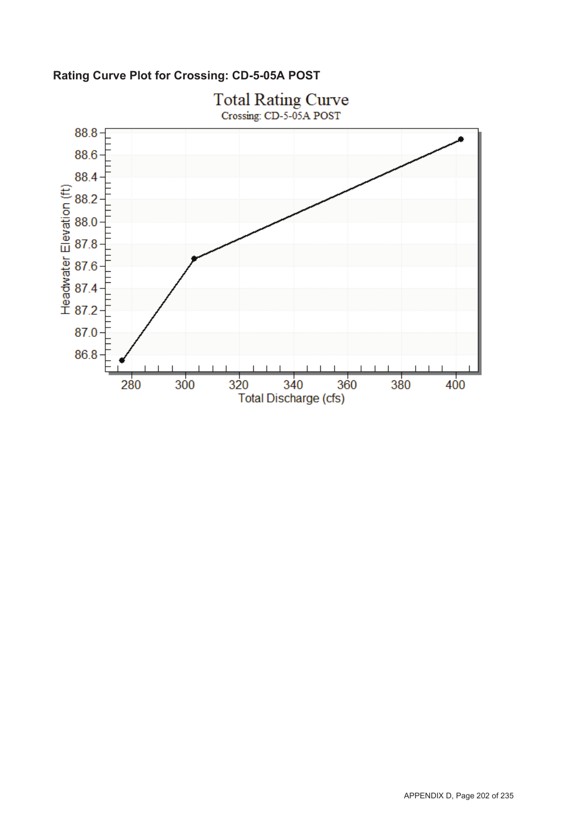**Rating Curve Plot for Crossing: CD-5-05A POST**

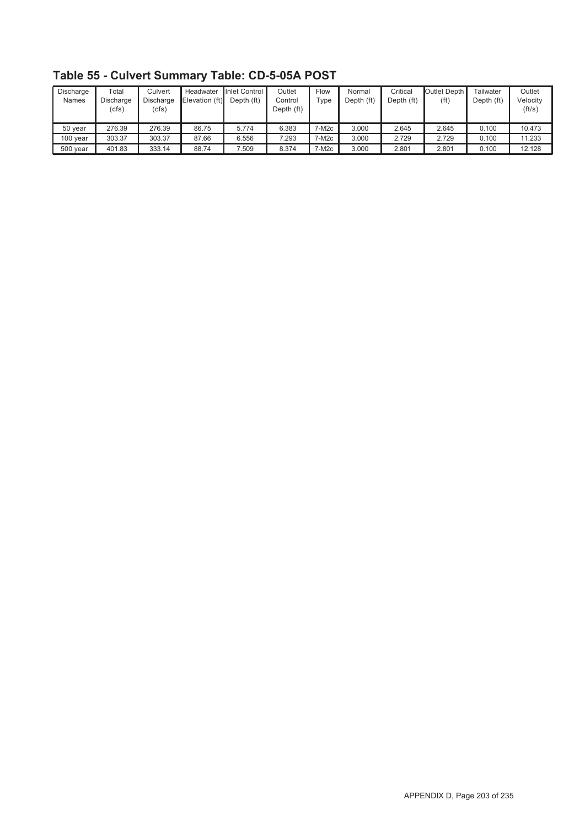| Discharge<br>Names | $\mathsf{Total}$<br>Discharge<br>(cfs) | Culvert<br><b>Discharge</b><br>(cfs) | Headwater<br>Elevation (ft) | Inlet Control I<br>Depth (ft) | Outlet<br>Control<br>Depth (ft) | Flow<br>Type      | Normal<br>Depth (ft) | Critical<br>Depth (ft) | Outlet Depth I<br>(f <sub>t</sub> ) | Tailwater<br>Depth (ft) | Outlet<br>Velocitv<br>(ft/s) |
|--------------------|----------------------------------------|--------------------------------------|-----------------------------|-------------------------------|---------------------------------|-------------------|----------------------|------------------------|-------------------------------------|-------------------------|------------------------------|
| 50 year            | 276.39                                 | 276.39                               | 86.75                       | 5.774                         | 6.383                           | 7-M2c             | 3.000                | 2.645                  | 2.645                               | 0.100                   | 10.473                       |
| 100 year           | 303.37                                 | 303.37                               | 87.66                       | 6.556                         | 7.293                           | 7-M2c             | 3.000                | 2.729                  | 2.729                               | 0.100                   | 11.233                       |
| 500 year           | 401.83                                 | 333.14                               | 88.74                       | 7.509                         | 8.374                           | 7-M <sub>2c</sub> | 3.000                | 2.801                  | 2.801                               | 0.100                   | 12.128                       |

**Table 55 - Culvert Summary Table: CD-5-05A POST**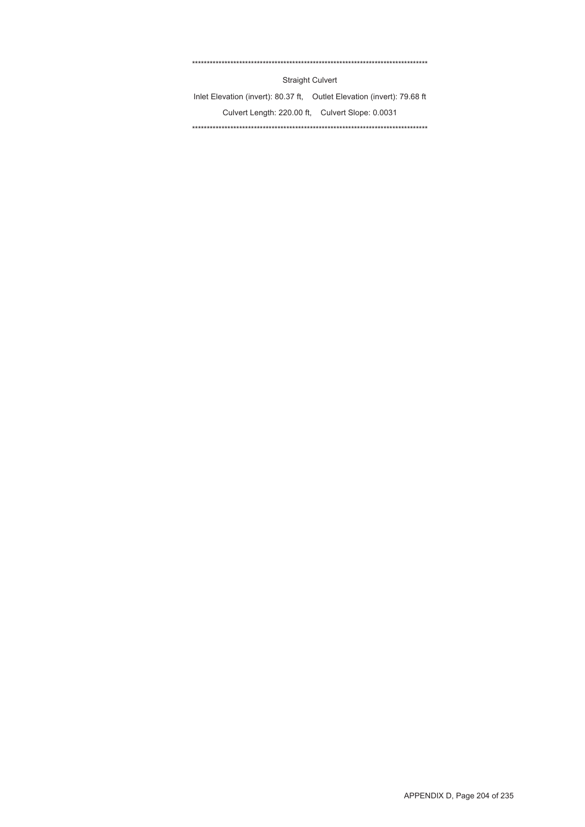#### \*\*\*\*\*\*\*\*\*\*\*\*\*\*\*\*\*\*\*\*\*\*\*\*\*\*\*\*\*\*\*\*\*\*\*\*\*\*\*\*\*\*\*\*\*\*\*\*\*\*\*\*\*\*\*\*\*\*\*\*\*\*\*\*\*\*\*\*\*\*\*\*\*\*\*\*\*\*\*\*

Straight Culvert

Inlet Elevation (invert): 80.37 ft, Outlet Elevation (invert): 79.68 ft Culvert Length: 220.00 ft, Culvert Slope: 0.0031 \*\*\*\*\*\*\*\*\*\*\*\*\*\*\*\*\*\*\*\*\*\*\*\*\*\*\*\*\*\*\*\*\*\*\*\*\*\*\*\*\*\*\*\*\*\*\*\*\*\*\*\*\*\*\*\*\*\*\*\*\*\*\*\*\*\*\*\*\*\*\*\*\*\*\*\*\*\*\*\*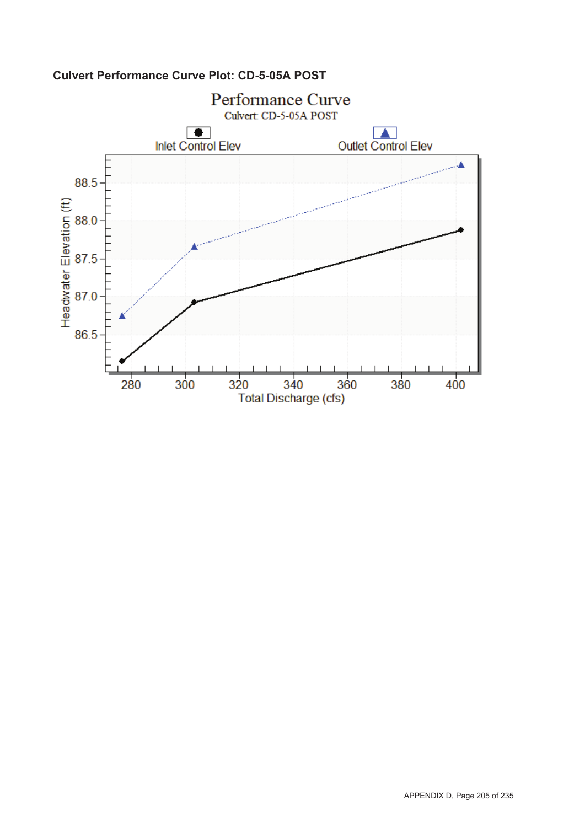

## **Culvert Performance Curve Plot: CD-5-05A POST**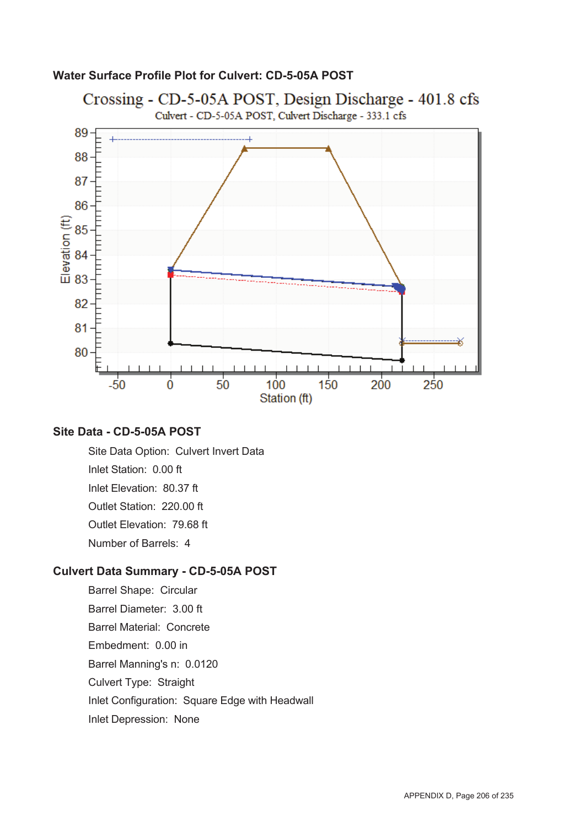

#### **Water Surface Profile Plot for Culvert: CD-5-05A POST**

#### **Site Data - CD-5-05A POST**

Site Data Option: Culvert Invert Data Inlet Station: 0.00 ft Inlet Elevation: 80.37 ft Outlet Station: 220.00 ft Outlet Elevation: 79.68 ft Number of Barrels: 4

#### **Culvert Data Summary - CD-5-05A POST**

Barrel Shape: Circular Barrel Diameter: 3.00 ft Barrel Material: Concrete Embedment: 0.00 in Barrel Manning's n: 0.0120 Culvert Type: Straight Inlet Configuration: Square Edge with Headwall Inlet Depression: None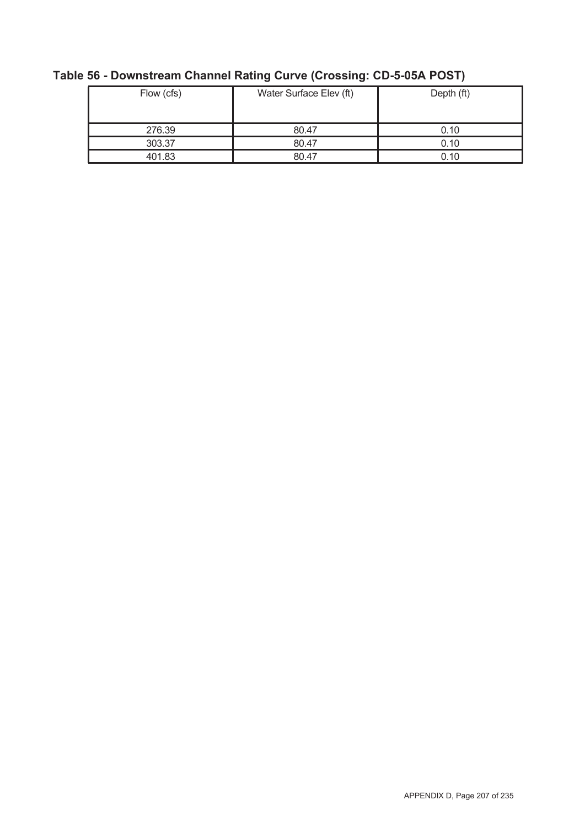| Flow (cfs) | Water Surface Elev (ft) | Depth (ft) |
|------------|-------------------------|------------|
| 276.39     | 80.47                   | 0.10       |
| 303.37     | 80.47                   | 0.10       |
| 401.83     | 80.47                   | 0.10       |

# **Table 56 - Downstream Channel Rating Curve (Crossing: CD-5-05A POST)**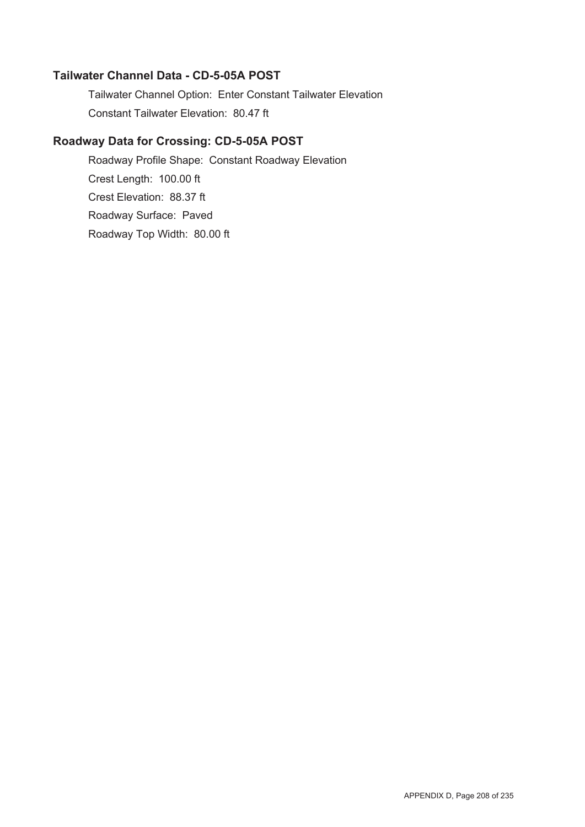#### **Tailwater Channel Data - CD-5-05A POST**

Tailwater Channel Option: Enter Constant Tailwater Elevation Constant Tailwater Elevation: 80.47 ft

### **Roadway Data for Crossing: CD-5-05A POST**

Roadway Profile Shape: Constant Roadway Elevation Crest Length: 100.00 ft Crest Elevation: 88.37 ft Roadway Surface: Paved Roadway Top Width: 80.00 ft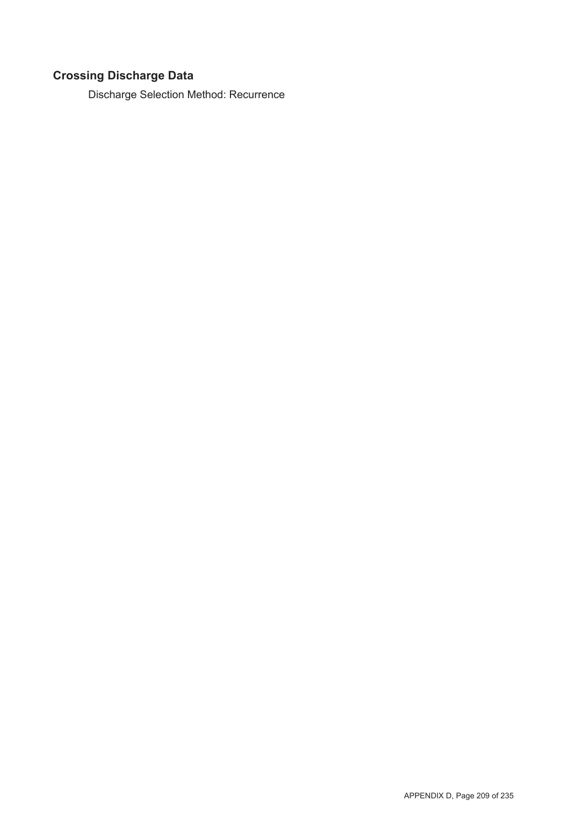# **Crossing Discharge Data**

Discharge Selection Method: Recurrence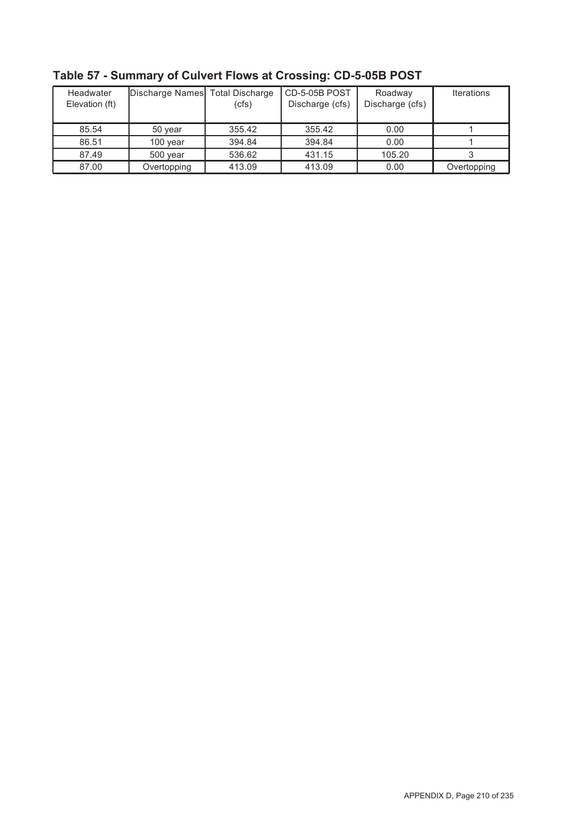| Headwater<br>Elevation (ft) |             | Discharge Names Total Discharge<br>(cfs) |        | Roadway<br>Discharge (cfs) | <b>Iterations</b> |  |
|-----------------------------|-------------|------------------------------------------|--------|----------------------------|-------------------|--|
| 85.54                       | 50 year     | 355.42                                   | 355.42 | 0.00                       |                   |  |
| 86.51                       | $100$ year  | 394.84                                   | 394.84 | 0.00                       |                   |  |
| 87.49                       | 500 year    | 536.62                                   | 431.15 | 105.20                     |                   |  |
| 87.00                       | Overtopping | 413.09                                   | 413.09 | 0.00                       | Overtopping       |  |

**Table 57 - Summary of Culvert Flows at Crossing: CD-5-05B POST**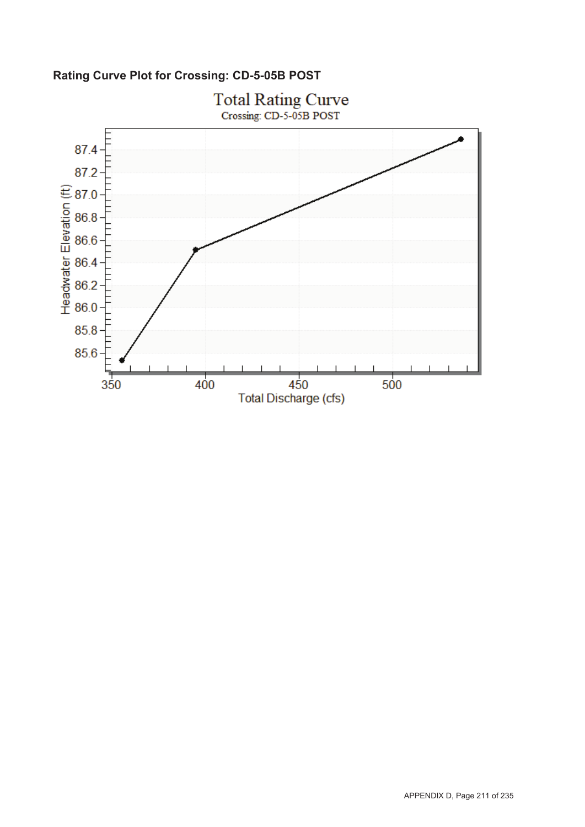**Rating Curve Plot for Crossing: CD-5-05B POST**

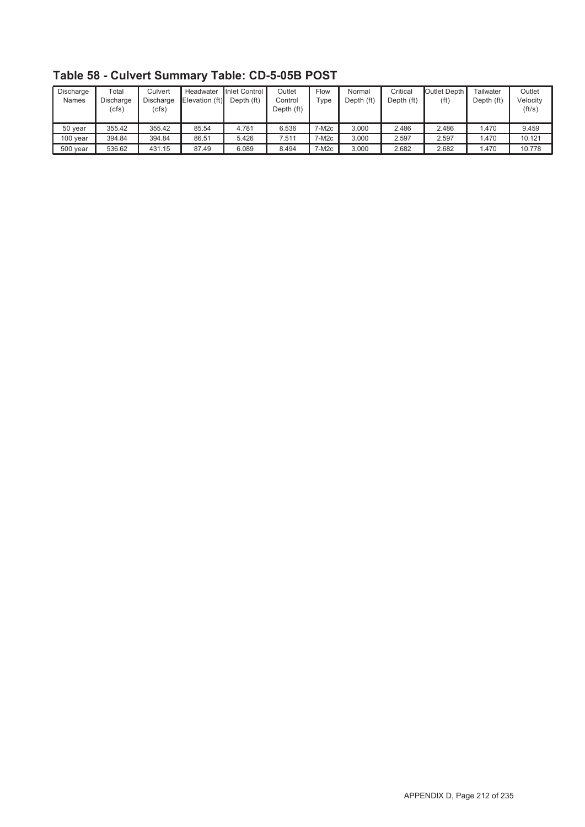| Discharge<br><b>Names</b> | $\tau$ otal<br>Discharge<br>(cfs) | Culvert<br>Discharge<br>(cfs) | Headwater<br>Elevation (ft) | Inlet Control<br>Depth (ft) | Outlet<br>Control<br>Depth (ft) | Flow<br>$T$ ype   | Normal<br>Depth (ft) | Critical<br>Depth (ft) | Outlet Depth I<br>(ft) | Tailwater<br>Depth (ft) | Outlet<br>Velocity<br>(ft/s) |
|---------------------------|-----------------------------------|-------------------------------|-----------------------------|-----------------------------|---------------------------------|-------------------|----------------------|------------------------|------------------------|-------------------------|------------------------------|
| 50 year                   | 355.42                            | 355.42                        | 85.54                       | 4.781                       | 6.536                           | 7-M2c             | 3.000                | 2.486                  | 2.486                  | .470                    | 9.459                        |
| 100 year                  | 394.84                            | 394.84                        | 86.51                       | 5.426                       | 7.511                           | 7-M2c             | 3.000                | 2.597                  | 2.597                  | .470                    | 10.121                       |
| 500 year                  | 536.62                            | 431.15                        | 87.49                       | 6.089                       | 8.494                           | 7-M <sub>2c</sub> | 3.000                | 2.682                  | 2.682                  | .470                    | 10.778                       |

**Table 58 - Culvert Summary Table: CD-5-05B POST**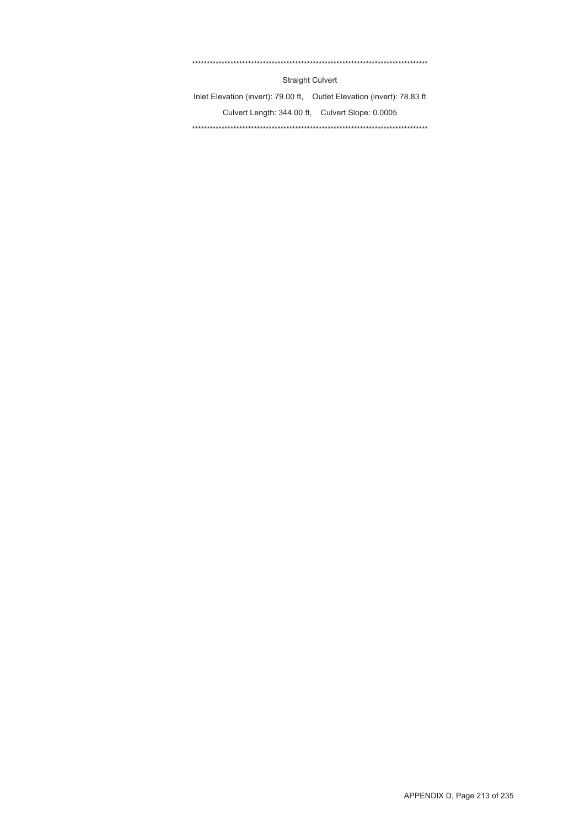#### \*\*\*\*\*\*\*\*\*\*\*\*\*\*\*\*\*\*\*\*\*\*\*\*\*\*\*\*\*\*\*\*\*\*\*\*\*\*\*\*\*\*\*\*\*\*\*\*\*\*\*\*\*\*\*\*\*\*\*\*\*\*\*\*\*\*\*\*\*\*\*\*\*\*\*\*\*\*\*\*

Straight Culvert

Inlet Elevation (invert): 79.00 ft, Outlet Elevation (invert): 78.83 ft Culvert Length: 344.00 ft, Culvert Slope: 0.0005 \*\*\*\*\*\*\*\*\*\*\*\*\*\*\*\*\*\*\*\*\*\*\*\*\*\*\*\*\*\*\*\*\*\*\*\*\*\*\*\*\*\*\*\*\*\*\*\*\*\*\*\*\*\*\*\*\*\*\*\*\*\*\*\*\*\*\*\*\*\*\*\*\*\*\*\*\*\*\*\*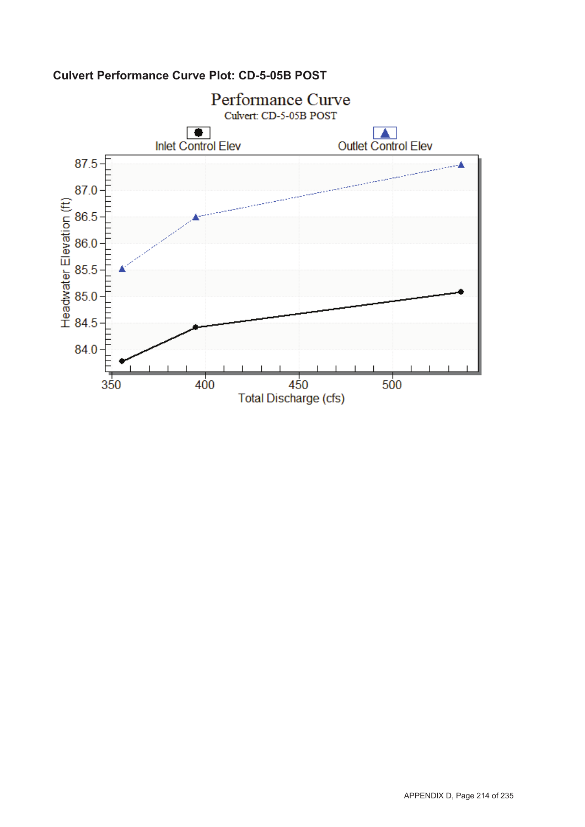

## **Culvert Performance Curve Plot: CD-5-05B POST**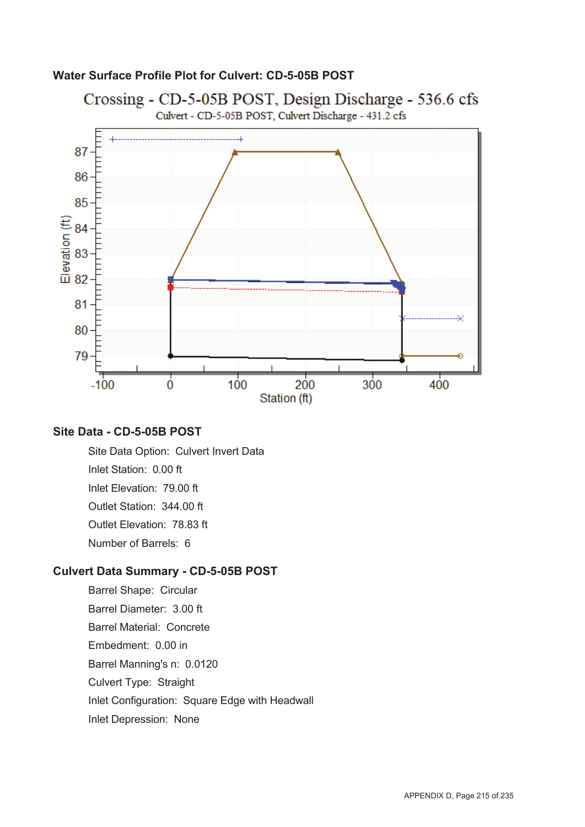#### **Water Surface Profile Plot for Culvert: CD-5-05B POST**



#### **Site Data - CD-5-05B POST**

Site Data Option: Culvert Invert Data Inlet Station: 0.00 ft Inlet Elevation: 79.00 ft Outlet Station: 344.00 ft Outlet Elevation: 78.83 ft Number of Barrels: 6

#### **Culvert Data Summary - CD-5-05B POST**

Barrel Shape: Circular Barrel Diameter: 3.00 ft Barrel Material: Concrete Embedment: 0.00 in Barrel Manning's n: 0.0120 Culvert Type: Straight Inlet Configuration: Square Edge with Headwall Inlet Depression: None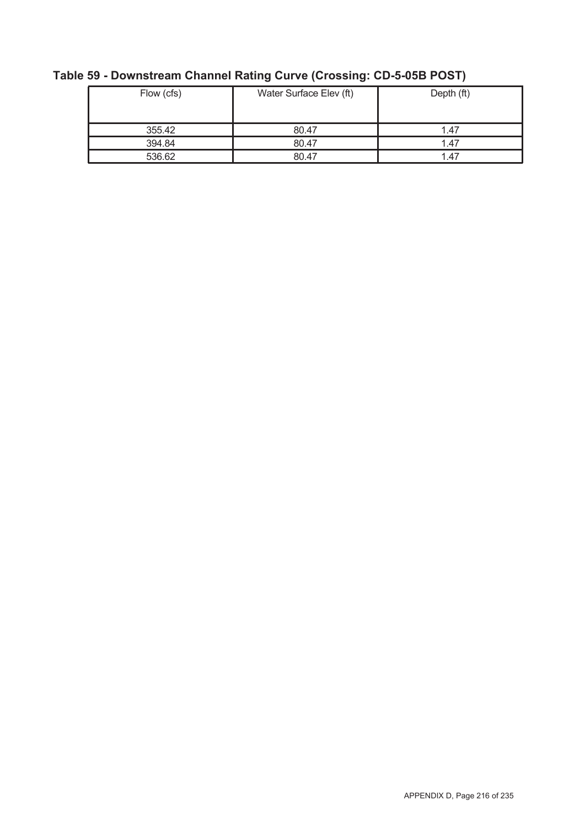| Flow (cfs) | Water Surface Elev (ft) | Depth (ft) |
|------------|-------------------------|------------|
| 355.42     | 80.47                   | 1.47       |
| 394.84     | 80.47                   | 1.47       |
| 536.62     | 80.47                   | 1.47       |

# **Table 59 - Downstream Channel Rating Curve (Crossing: CD-5-05B POST)**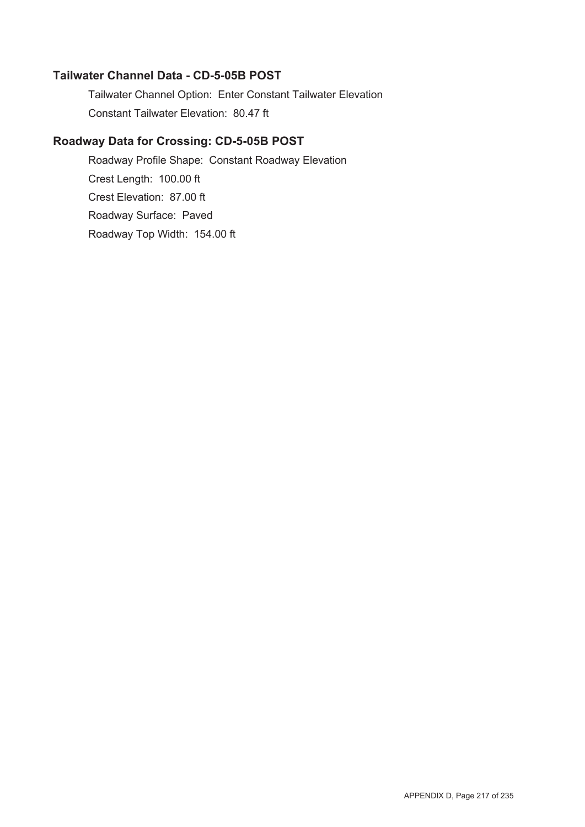#### **Tailwater Channel Data - CD-5-05B POST**

Tailwater Channel Option: Enter Constant Tailwater Elevation Constant Tailwater Elevation: 80.47 ft

## **Roadway Data for Crossing: CD-5-05B POST**

Roadway Profile Shape: Constant Roadway Elevation Crest Length: 100.00 ft Crest Elevation: 87.00 ft Roadway Surface: Paved Roadway Top Width: 154.00 ft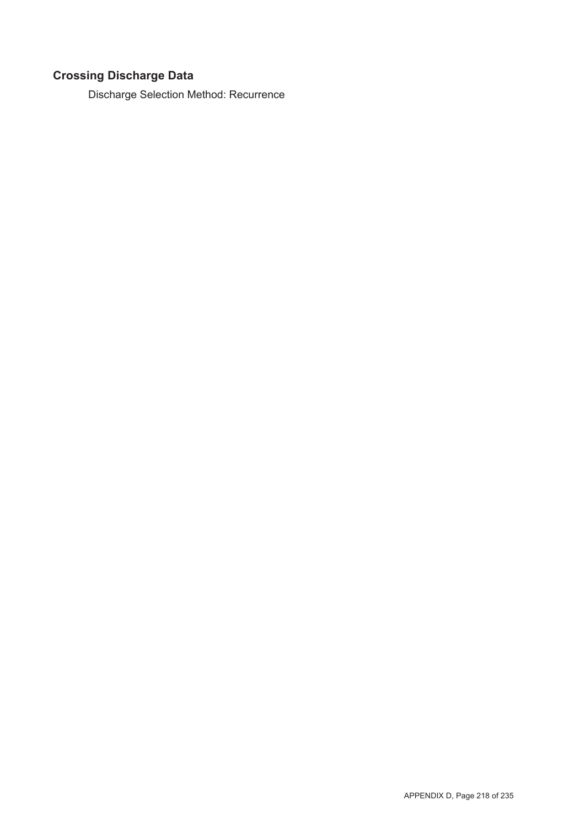# **Crossing Discharge Data**

Discharge Selection Method: Recurrence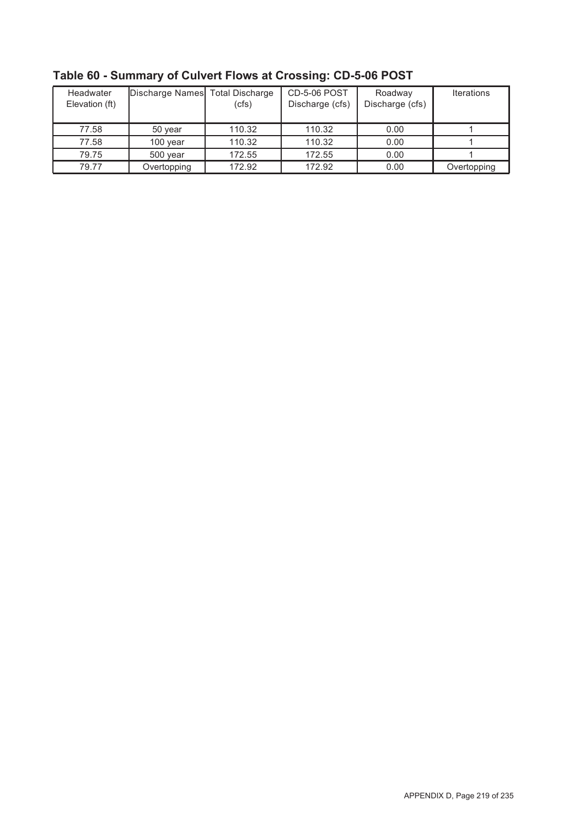| Headwater<br>Elevation (ft) | Discharge Names Total Discharge | (cfs)  | <b>CD-5-06 POST</b><br>Discharge (cfs) | Roadway<br>Discharge (cfs) | <b>Iterations</b> |
|-----------------------------|---------------------------------|--------|----------------------------------------|----------------------------|-------------------|
| 77.58                       | 50 year                         | 110.32 | 110.32                                 | 0.00                       |                   |
| 77.58                       | 100 year                        | 110.32 | 110.32                                 | 0.00                       |                   |
| 79.75                       | 500 year                        | 172.55 | 172.55                                 | 0.00                       |                   |
| 79.77                       | Overtopping                     | 172.92 | 172.92                                 | 0.00                       | Overtopping       |

**Table 60 - Summary of Culvert Flows at Crossing: CD-5-06 POST**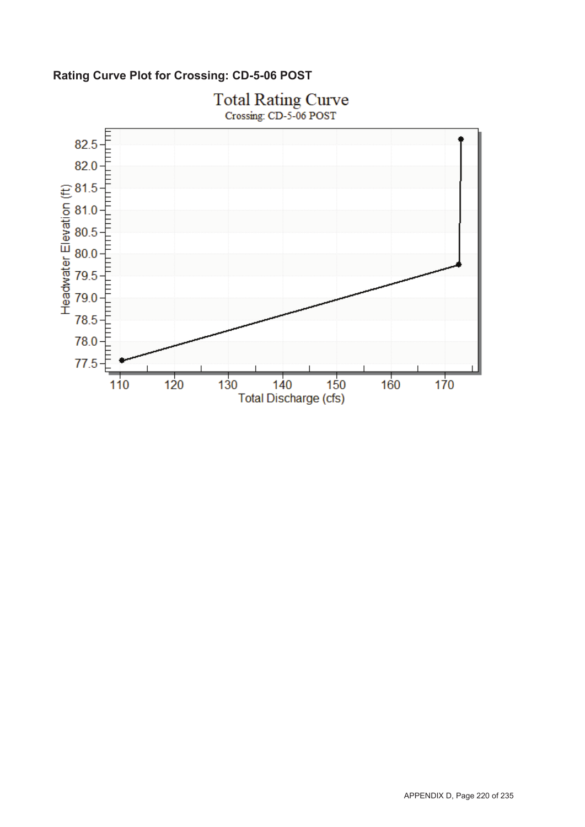**Rating Curve Plot for Crossing: CD-5-06 POST**

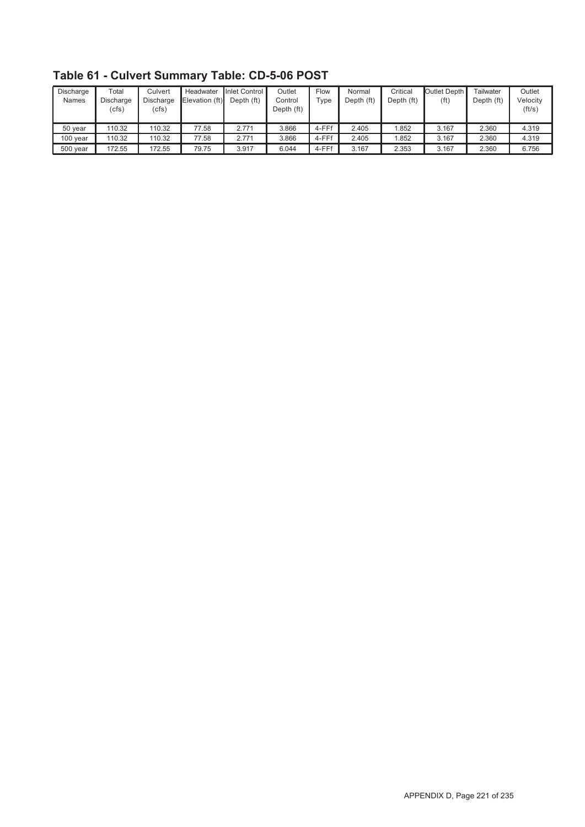| Discharge<br>Names | $\mathsf{Total}$<br>Discharge<br>(cfs) | Culvert<br><b>Discharge</b><br>(cfs) | Headwater<br>Elevation (ft) | Inlet Control I<br>Depth (ft) | Outlet<br>Control<br>Depth (ft) | Flow<br>Type | Normal<br>Depth (ft) | Critical<br>Depth (ft) | Outlet Depth I<br>(f <sub>t</sub> ) | Tailwater<br>Depth (ft) | Outlet<br>Velocitv<br>(ft/s) |
|--------------------|----------------------------------------|--------------------------------------|-----------------------------|-------------------------------|---------------------------------|--------------|----------------------|------------------------|-------------------------------------|-------------------------|------------------------------|
| 50 year            | 110.32                                 | 110.32                               | 77.58                       | 2.771                         | 3.866                           | 4-FFf        | 2.405                | .852                   | 3.167                               | 2.360                   | 4.319                        |
| 100 year           | 110.32                                 | 110.32                               | 77.58                       | 2.771                         | 3.866                           | 4-FFf        | 2.405                | .852                   | 3.167                               | 2.360                   | 4.319                        |
| 500 year           | 172.55                                 | 172.55                               | 79.75                       | 3.917                         | 6.044                           | 4-FFf        | 3.167                | 2.353                  | 3.167                               | 2.360                   | 6.756                        |

# **Table 61 - Culvert Summary Table: CD-5-06 POST**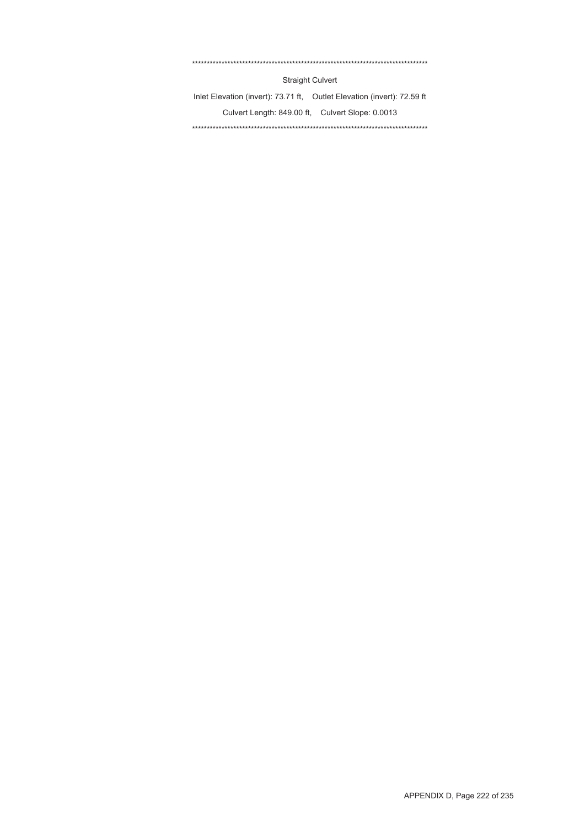#### \*\*\*\*\*\*\*\*\*\*\*\*\*\*\*\*\*\*\*\*\*\*\*\*\*\*\*\*\*\*\*\*\*\*\*\*\*\*\*\*\*\*\*\*\*\*\*\*\*\*\*\*\*\*\*\*\*\*\*\*\*\*\*\*\*\*\*\*\*\*\*\*\*\*\*\*\*\*\*\*

Straight Culvert

Inlet Elevation (invert): 73.71 ft, Outlet Elevation (invert): 72.59 ft Culvert Length: 849.00 ft, Culvert Slope: 0.0013 \*\*\*\*\*\*\*\*\*\*\*\*\*\*\*\*\*\*\*\*\*\*\*\*\*\*\*\*\*\*\*\*\*\*\*\*\*\*\*\*\*\*\*\*\*\*\*\*\*\*\*\*\*\*\*\*\*\*\*\*\*\*\*\*\*\*\*\*\*\*\*\*\*\*\*\*\*\*\*\*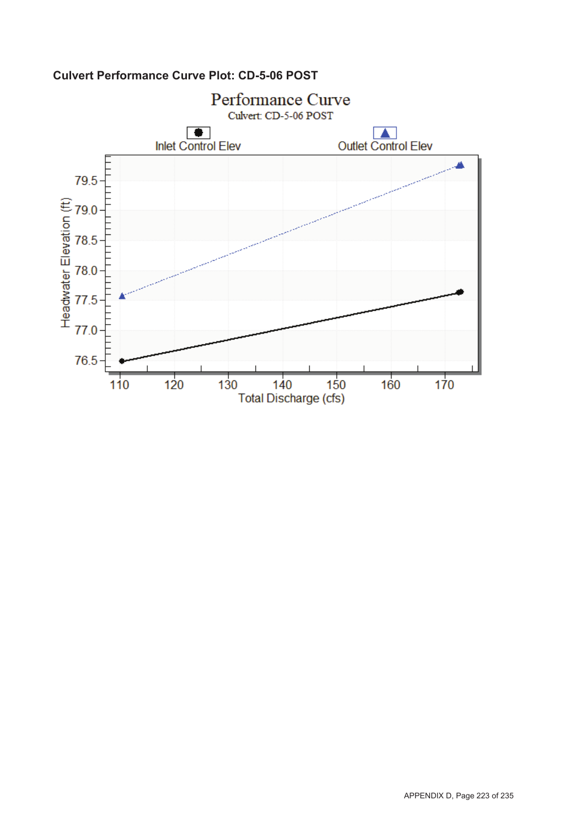

## **Culvert Performance Curve Plot: CD-5-06 POST**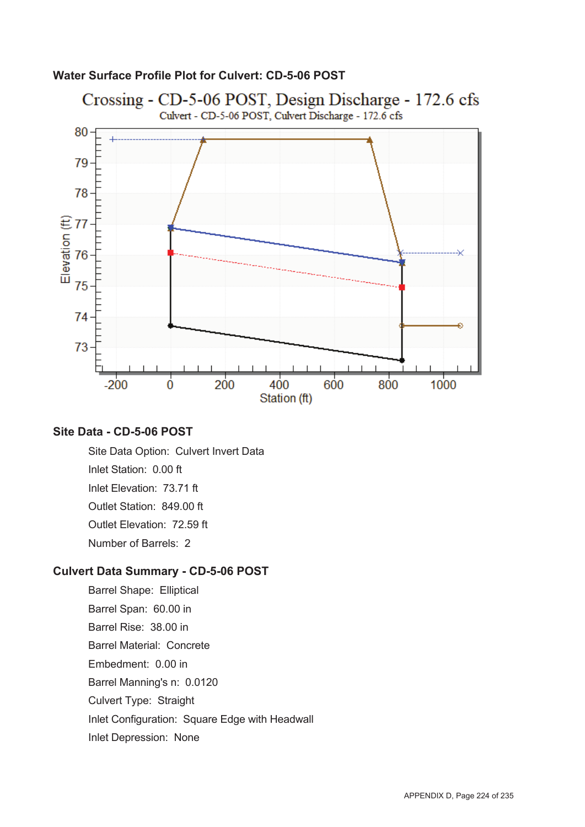### **Water Surface Profile Plot for Culvert: CD-5-06 POST**



### **Site Data - CD-5-06 POST**

Site Data Option: Culvert Invert Data Inlet Station: 0.00 ft Inlet Elevation: 73.71 ft Outlet Station: 849.00 ft Outlet Elevation: 72.59 ft Number of Barrels: 2

#### **Culvert Data Summary - CD-5-06 POST**

Barrel Shape: Elliptical Barrel Span: 60.00 in Barrel Rise: 38.00 in Barrel Material: Concrete Embedment: 0.00 in Barrel Manning's n: 0.0120 Culvert Type: Straight Inlet Configuration: Square Edge with Headwall Inlet Depression: None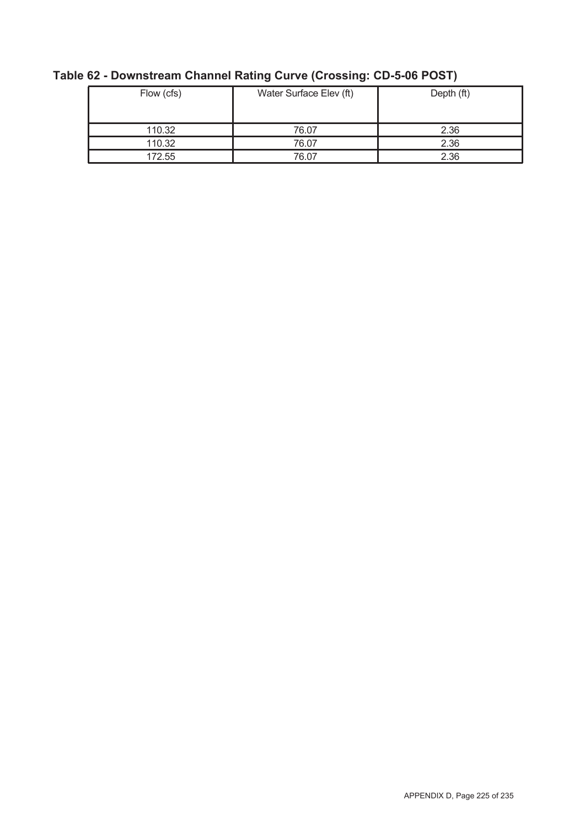| Flow (cfs) | Water Surface Elev (ft) | Depth (ft) |
|------------|-------------------------|------------|
| 110.32     | 76.07                   | 2.36       |
| 110.32     | 76.07                   | 2.36       |
| 172.55     | 76.07                   | 2.36       |

# **Table 62 - Downstream Channel Rating Curve (Crossing: CD-5-06 POST)**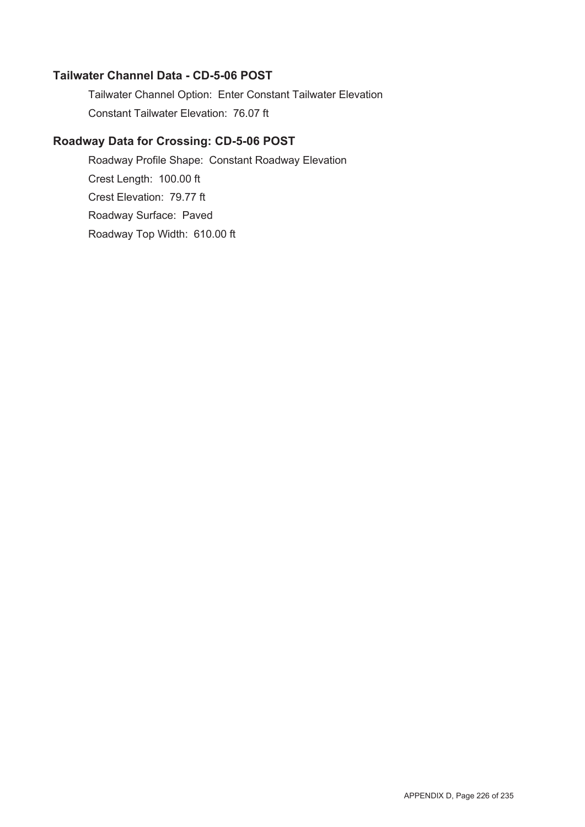### **Tailwater Channel Data - CD-5-06 POST**

Tailwater Channel Option: Enter Constant Tailwater Elevation Constant Tailwater Elevation: 76.07 ft

### **Roadway Data for Crossing: CD-5-06 POST**

Roadway Profile Shape: Constant Roadway Elevation Crest Length: 100.00 ft Crest Elevation: 79.77 ft Roadway Surface: Paved Roadway Top Width: 610.00 ft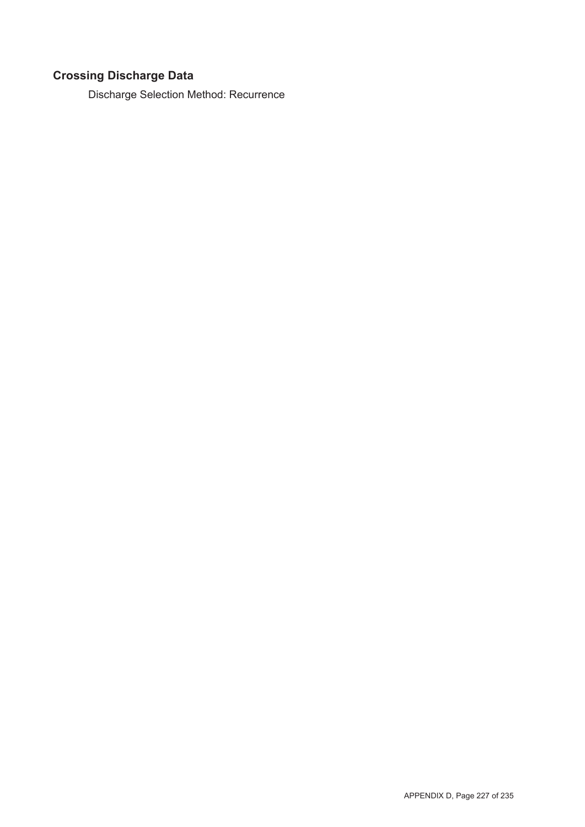# **Crossing Discharge Data**

Discharge Selection Method: Recurrence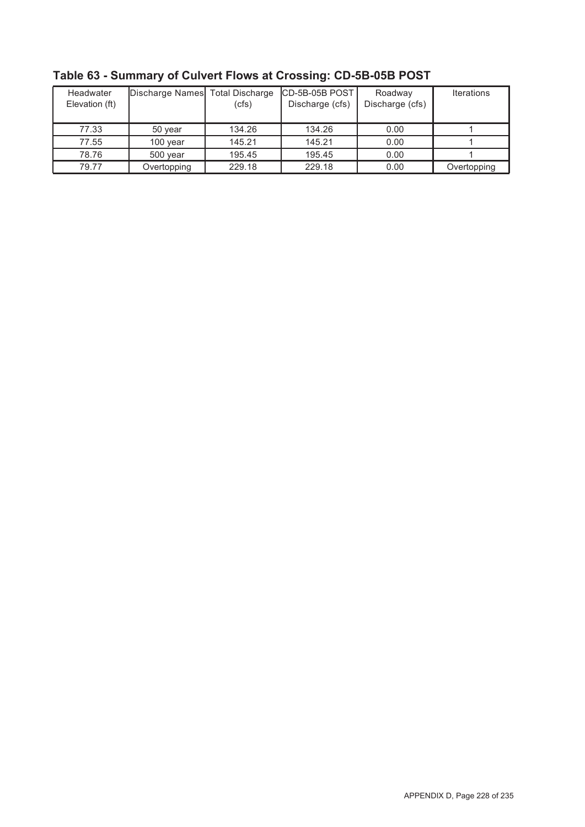| Headwater<br>Elevation (ft) | Discharge Names Total Discharge | (cfs)  | ICD-5B-05B POST I<br>Discharge (cfs) | Roadway<br>Discharge (cfs) | <b>Iterations</b> |
|-----------------------------|---------------------------------|--------|--------------------------------------|----------------------------|-------------------|
| 77.33                       | 50 year                         | 134.26 | 134.26                               | 0.00                       |                   |
| 77.55                       | $100$ year                      | 145.21 | 145.21                               | 0.00                       |                   |
| 78.76                       | 500 year                        | 195.45 | 195.45                               | 0.00                       |                   |
| 79.77                       | Overtopping                     | 229.18 | 229.18                               | 0.00                       | Overtopping       |

**Table 63 - Summary of Culvert Flows at Crossing: CD-5B-05B POST**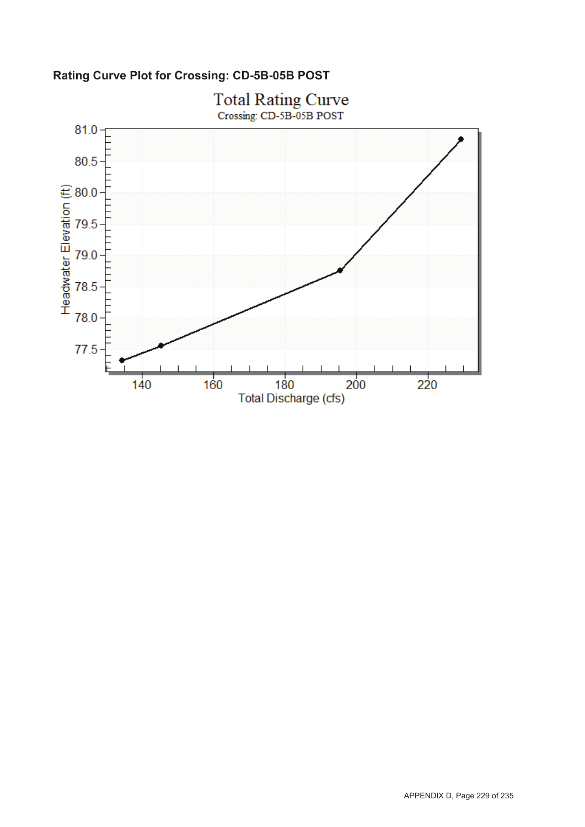

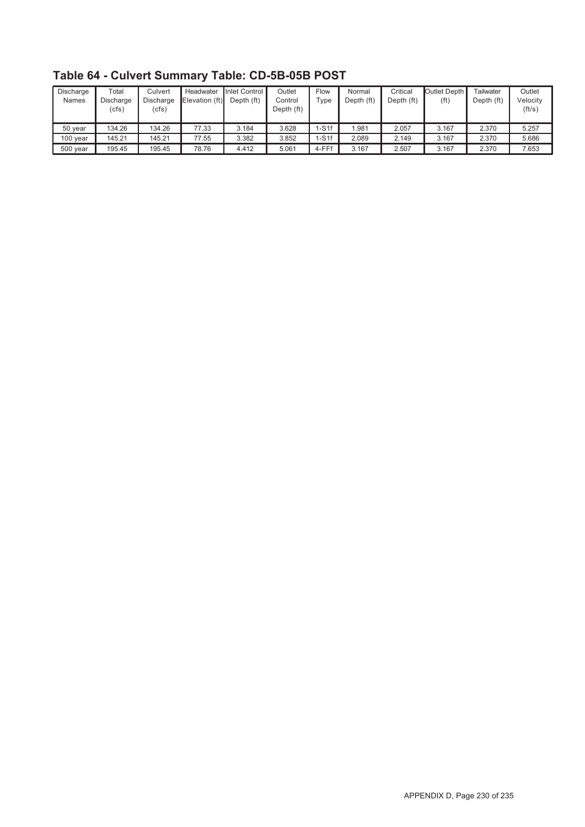| Discharge<br><b>Names</b> | $\tau$ otal<br>Discharge<br>(cfs) | Culvert<br>Discharge<br>(cfs) | Headwater<br>Elevation (ft) | Inlet Control<br>Depth (ft) | Outlet<br>Control<br>Depth (ft) | Flow<br>$T$ ype | Normal<br>Depth (ft) | Critical<br>Depth (ft) | Outlet Depth I<br>(ft) | Tailwater<br>Depth (ft) | Outlet<br>Velocitv<br>(ft/s) |
|---------------------------|-----------------------------------|-------------------------------|-----------------------------|-----------------------------|---------------------------------|-----------------|----------------------|------------------------|------------------------|-------------------------|------------------------------|
| 50 year                   | 134.26                            | 134.26                        | 77.33                       | 3.184                       | 3.628                           | $1-S1f$         | 1.981                | 2.057                  | 3.167                  | 2.370                   | 5.257                        |
| 100 year                  | 145.21                            | 145.21                        | 77.55                       | 3.382                       | 3.852                           | $-S1f$          | 2.089                | 2.149                  | 3.167                  | 2.370                   | 5.686                        |
| 500 year                  | 195.45                            | 195.45                        | 78.76                       | 4.412                       | 5.061                           | 4-FFf           | 3.167                | 2.507                  | 3.167                  | 2.370                   | 7.653                        |

**Table 64 - Culvert Summary Table: CD-5B-05B POST**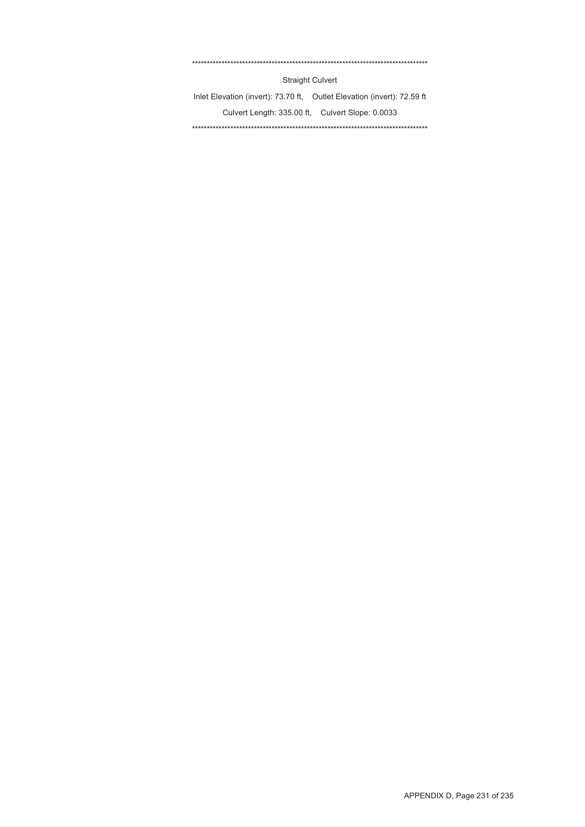#### \*\*\*\*\*\*\*\*\*\*\*\*\*\*\*\*\*\*\*\*\*\*\*\*\*\*\*\*\*\*\*\*\*\*\*\*\*\*\*\*\*\*\*\*\*\*\*\*\*\*\*\*\*\*\*\*\*\*\*\*\*\*\*\*\*\*\*\*\*\*\*\*\*\*\*\*\*\*\*\*

Straight Culvert

Inlet Elevation (invert): 73.70 ft, Outlet Elevation (invert): 72.59 ft Culvert Length: 335.00 ft, Culvert Slope: 0.0033 \*\*\*\*\*\*\*\*\*\*\*\*\*\*\*\*\*\*\*\*\*\*\*\*\*\*\*\*\*\*\*\*\*\*\*\*\*\*\*\*\*\*\*\*\*\*\*\*\*\*\*\*\*\*\*\*\*\*\*\*\*\*\*\*\*\*\*\*\*\*\*\*\*\*\*\*\*\*\*\*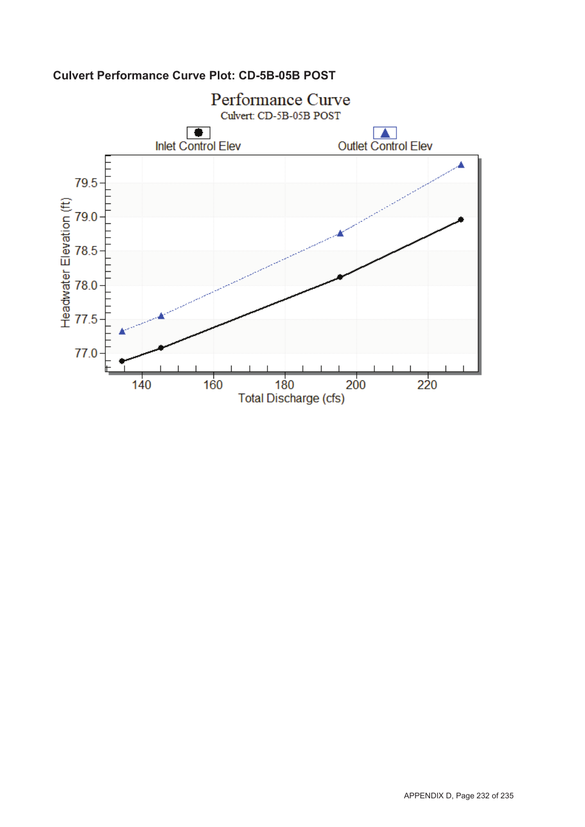

## **Culvert Performance Curve Plot: CD-5B-05B POST**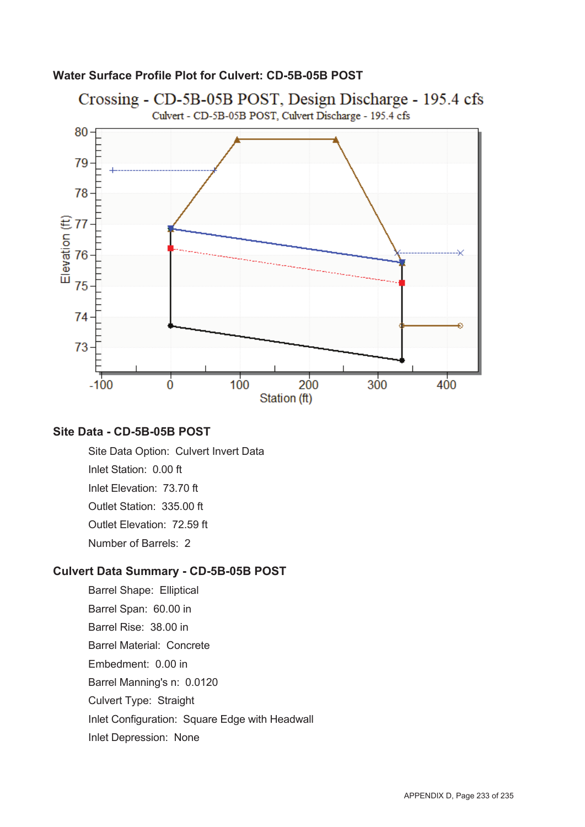

#### **Water Surface Profile Plot for Culvert: CD-5B-05B POST**

#### **Site Data - CD-5B-05B POST**

Site Data Option: Culvert Invert Data Inlet Station: 0.00 ft Inlet Elevation: 73.70 ft Outlet Station: 335.00 ft Outlet Elevation: 72.59 ft Number of Barrels: 2

#### **Culvert Data Summary - CD-5B-05B POST**

Barrel Shape: Elliptical Barrel Span: 60.00 in Barrel Rise: 38.00 in Barrel Material: Concrete Embedment: 0.00 in Barrel Manning's n: 0.0120 Culvert Type: Straight Inlet Configuration: Square Edge with Headwall Inlet Depression: None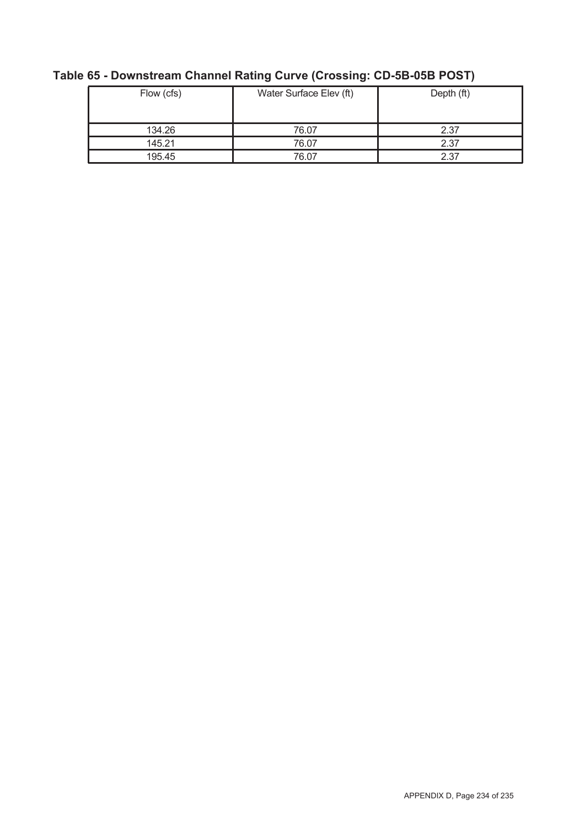| Flow (cfs) | Water Surface Elev (ft) | Depth (ft) |
|------------|-------------------------|------------|
| 134.26     | 76.07                   | 2.37       |
| 145.21     | 76.07                   | 2.37       |
| 195.45     | 76.07                   | 2.37       |

# **Table 65 - Downstream Channel Rating Curve (Crossing: CD-5B-05B POST)**